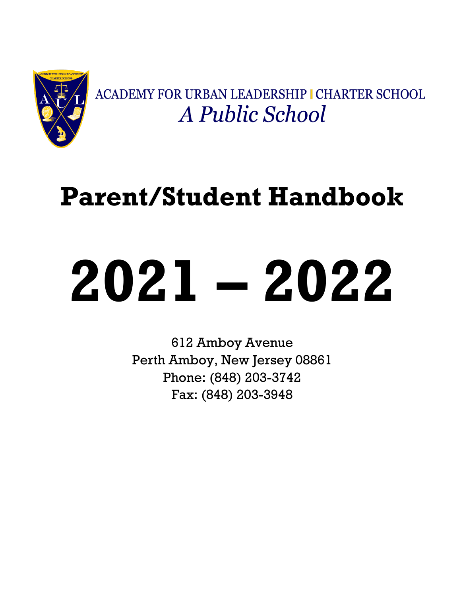

ACADEMY FOR URBAN LEADERSHIP I CHARTER SCHOOL A Public School

# **Parent/Student Handbook**

# **2021 – 2022**

612 Amboy Avenue Perth Amboy, New Jersey 08861 Phone: (848) 203-3742 Fax: (848) 203-3948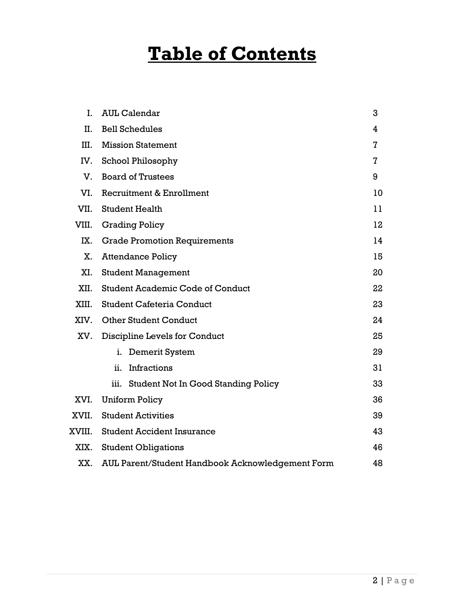## **Table of Contents**

| $\mathbf{I}$ . | <b>AUL Calendar</b>                              | 3  |  |
|----------------|--------------------------------------------------|----|--|
| II.            | <b>Bell Schedules</b>                            | 4  |  |
| III.           | <b>Mission Statement</b>                         | 7  |  |
| IV.            | <b>School Philosophy</b>                         | 7  |  |
| V.             | <b>Board of Trustees</b>                         | 9  |  |
| VI.            | Recruitment & Enrollment                         | 10 |  |
| VII.           | <b>Student Health</b>                            | 11 |  |
| VIII.          | <b>Grading Policy</b>                            | 12 |  |
| IX.            | <b>Grade Promotion Requirements</b>              | 14 |  |
| X.             | <b>Attendance Policy</b>                         | 15 |  |
| XI.            | <b>Student Management</b>                        | 20 |  |
| XII.           | <b>Student Academic Code of Conduct</b>          | 22 |  |
| XIII.          | <b>Student Cafeteria Conduct</b>                 | 23 |  |
| XIV.           | <b>Other Student Conduct</b>                     | 24 |  |
| XV.            | Discipline Levels for Conduct                    | 25 |  |
|                | i.<br>Demerit System                             | 29 |  |
|                | Infractions<br>ii.                               | 31 |  |
|                | iii. Student Not In Good Standing Policy         | 33 |  |
| XVI.           | Uniform Policy                                   | 36 |  |
| XVII.          | <b>Student Activities</b>                        | 39 |  |
| XVIII.         | <b>Student Accident Insurance</b>                | 43 |  |
| XIX.           | <b>Student Obligations</b>                       | 46 |  |
| XX.            | AUL Parent/Student Handbook Acknowledgement Form |    |  |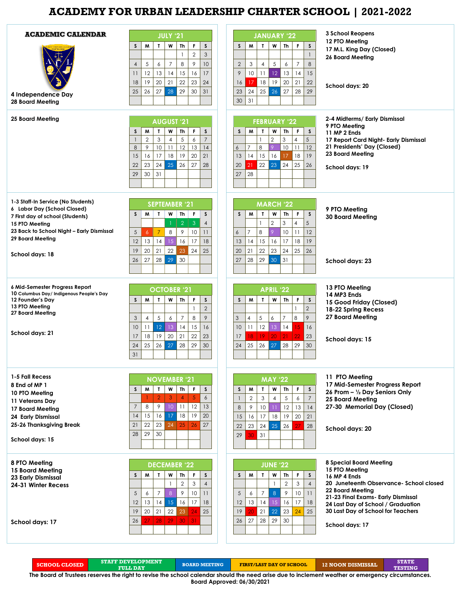### **ACADEMY FOR URBAN LEADERSHIP CHARTER SCHOOL | 2021-2022**

| <b>ACADEMIC CALENDAR</b><br>4 Independence Day<br>28 Board Meeting                                                                                                                                                 | <b>JULY '21</b><br>F<br>T<br>W<br><b>Th</b><br>$\mathsf S$<br>W<br>S<br>$\overline{2}$<br>$\mathfrak{S}$<br>$\mathbf{1}$<br>$\,8\,$<br>$\mathcal{P}$<br>10<br>5<br>$\overline{7}$<br>$\overline{4}$<br>6<br>12<br>13<br>15<br>14<br>16<br>17<br>11<br>19<br>20<br>21<br>22<br>23<br>24<br>18<br>26<br>29<br>25<br>27<br>28<br>30<br>31 | <b>JANUARY '22</b><br>F<br>W<br>Th<br>$\mathsf S$<br>S<br>W<br>$\mathbf{r}$<br>$\mathbf{1}$<br>5<br>$\overline{7}$<br>8<br>$\mathbf{2}$<br>3<br>$\overline{4}$<br>6<br>12<br>13<br>15<br>9<br>10<br>11<br>14<br>19<br>18<br>20<br>21<br>22<br>17<br>16<br>25 <sup>1</sup><br>27<br>29<br>24<br>26<br>28<br>23<br>31<br>30                  | <b>3 School Reopens</b><br>12 PTO Meeting<br>17 M.L. King Day (Closed)<br><b>26 Board Meeting</b><br>School days: 20                                                                                                                                                 |
|--------------------------------------------------------------------------------------------------------------------------------------------------------------------------------------------------------------------|----------------------------------------------------------------------------------------------------------------------------------------------------------------------------------------------------------------------------------------------------------------------------------------------------------------------------------------|--------------------------------------------------------------------------------------------------------------------------------------------------------------------------------------------------------------------------------------------------------------------------------------------------------------------------------------------|----------------------------------------------------------------------------------------------------------------------------------------------------------------------------------------------------------------------------------------------------------------------|
| <b>25 Board Meeting</b>                                                                                                                                                                                            | <b>AUGUST '21</b><br>F<br>T.<br>W<br>$\mathsf{s}$<br>M<br>Th<br>s<br>6<br>$\mathbf{2}$<br>3<br>$\overline{4}$<br>5<br>$\overline{7}$<br>$\mathbf{1}$<br>$\,8\,$<br>9<br>10<br>11<br>12<br>13<br>14<br>17<br>18<br>19<br>20<br>16<br>15<br>21<br>25<br>26<br>27<br>23<br>24<br>28<br>22<br>29<br>30<br>31                               | <b>FEBRUARY '22</b><br>F<br>S<br>M<br>$\mathbf{I}$<br>W<br>Th<br>s<br>$\overline{2}$<br>3<br>$\overline{4}$<br>5<br>$\mathbf{1}$<br>8<br>$\overline{7}$<br>9<br>10<br>11<br>12<br>6<br>15<br>19<br>16<br>17<br>18<br> 4<br>13<br>25<br>22<br>23<br>24<br>26<br>20<br>21<br>28<br>27                                                        | 2-4 Midterms/ Early Dismissal<br>9 PTO Meeting<br>11 MP 2 Ends<br>17 Report Card Night- Early Dismissal<br>21 Presidents' Day (Closed)<br>23 Board Meeting<br>School days: 19                                                                                        |
| 1-3 Staff-In Service (No Students)<br>6 Labor Day (School Closed)<br>7 First day of school (Students)<br>15 PTO Meeting<br>23 Back to School Night - Early Dismissal<br>29 Board Meeting<br><b>School days: 18</b> | <b>SEPTEMBER '21</b><br>M<br>W<br>Th<br>F.<br>S<br>S<br>T.<br>$\overline{4}$<br>$\overline{2}$<br>3<br>1.<br>$\sqrt{5}$<br>$\overline{6}$<br>$\overline{7}$<br>8<br>9<br>10 <sup>°</sup><br>11<br>15<br>16<br>12<br>13<br>14<br>17<br>18<br>20<br>22<br>23<br>24<br>21<br>25<br>19<br>28<br>29<br>27<br>30<br>26                       | <b>MARCH '22</b><br>$\mathsf{s}$<br>M<br>$\mathbf{I}$<br>W<br>Th<br>F.<br>S<br>$\overline{2}$<br>5<br>3<br>$\mathbf{1}$<br>$\overline{4}$<br>8<br>$\overline{7}$<br>9<br>10<br>12<br>11<br>6<br>19<br>15<br>16<br>17<br>18<br>13<br>14<br>22<br>23<br>24<br>25<br>21<br>26<br>20<br>29<br>28<br>30<br>31<br>27                             | 9 PTO Meeting<br><b>30 Board Meeting</b><br>School days: 23                                                                                                                                                                                                          |
| 6 Mid-Semester Progress Report<br>10 Columbus Day/ Indigenous People's Day<br>12 Founder's Day<br>13 PTO Meeting<br>27 Board Meeting<br>School days: 21                                                            | <b>OCTOBER '21</b><br>W<br>W<br>Th<br>F<br>S<br>S<br>T.<br>$\overline{2}$<br>$\mathbf{1}$<br>9<br>5<br>6<br>$\overline{7}$<br>8<br>3<br>$\overline{4}$<br>12<br>13<br>14<br>15<br>16<br>10<br>11<br>22<br>18<br>19<br>20<br>21<br>23<br>17<br>26<br>27<br>28<br>29<br>25<br>30<br>24<br>31                                             | <b>APRIL '22</b><br>W<br>$\mathbf{I}$<br>W<br>Th<br>F<br>S<br>S<br>$\overline{2}$<br>$\mathbf{1}$<br>5<br>9<br>$\overline{7}$<br>8<br>3<br>$\overline{4}$<br>6<br>12<br>11<br>13<br>14<br>16<br>10<br>15<br>18<br>19<br>20<br>21<br>22<br>23<br>17<br>26<br>28<br>29<br>30<br>25<br>27<br>24                                               | 13 PTO Meeting<br>14 MP3 Ends<br>15 Good Friday (Closed)<br>18-22 Spring Recess<br><b>27 Board Meeting</b><br>School days: 15                                                                                                                                        |
| 1-5 Fall Recess<br>8 End of MP 1<br>10 PTO Meeting<br>11 Veterans Day<br>17 Board Meeting<br>24 Early Dismissal<br>25-26 Thanksgiving Break<br>School days: 15                                                     | <b>NOVEMBER '21</b><br>T.<br>W<br>Th<br>F.<br>M<br>S<br>s<br>$\epsilon$<br>$\overline{2}$<br>$\overline{5}$<br>3<br>$\overline{4}$<br>12<br>8<br>9<br>10 <sup>°</sup><br>13<br>$\overline{7}$<br>11<br>19<br>15<br>17<br>18<br>16<br>20<br>14<br>22<br>23<br>21<br>24<br>25<br>26<br>27<br>29<br>30<br>28                              | <b>MAY '22</b><br>$\mathbf{T}$<br>F.<br>W<br>W<br>Th<br>S<br>S<br>$\overline{\phantom{a}}$<br>$\ensuremath{\mathsf{3}}$<br>$\overline{2}$<br>5<br>$\overline{4}$<br>6<br>$\mathbf{1}$<br>12<br>9<br>10<br>13<br>8<br>14<br>$\overline{11}$<br>18<br>17<br>19<br>20<br>21<br>15<br>16<br>25<br>23<br>24<br>26<br>28<br>22<br>31<br>29<br>ЗC | 11 PTO Meeting<br>17 Mid-Semester Progress Report<br>26 Prom - 1/2 Day Seniors Only<br><b>25 Board Meeting</b><br>27-30 Memorial Day (Closed)<br>School days: 20                                                                                                     |
| 8 PTO Meeting<br><b>15 Board Meeting</b><br>23 Early Dismissal<br>24-31 Winter Recess<br>School days: 17                                                                                                           | <b>DECEMBER '22</b><br>F<br>$\boldsymbol{\mathsf{S}}$<br>M<br>W<br>Th<br>s<br>т<br>$\overline{c}$<br>$\mathfrak{S}$<br>$\overline{4}$<br>9<br>$\overline{7}$<br>8<br>10<br>5<br>6<br>11<br>15 <sup>°</sup><br>13<br>16<br>17<br>12<br>14<br>18<br>22<br>20<br>21<br>24<br>19<br>23<br>25<br>28<br>29<br>30<br>27<br>31<br>26           | <b>JUNE '22</b><br>F<br>М<br>$\mathbf{T}$<br>$\mathsf{s}$<br>S.<br>W<br>Th<br>$\overline{2}$<br>$\mathsf 3$<br>$\overline{4}$<br>$\mathbf{1}$<br>5<br>$\overline{7}$<br>8<br>$\mathcal{P}$<br>10<br>11<br>6<br>13<br>14<br>15<br>12<br>16<br>17<br>18<br>22<br>21<br>23<br>25<br>19<br>24<br>20<br>29<br>27<br>28<br>30<br>26              | <b>8 Special Board Meeting</b><br>15 PTO Meeting<br>16 MP 4 Ends<br>20 Juneteenth Observance- School closed<br>22 Board Meeting<br>21-23 Final Exams- Early Dismissal<br>24 Last Day of School / Graduation<br>30 Last Day of School for Teachers<br>School days: 17 |

**SCHOOL CLOSED STAFF DEVELOPMENT FULL DAY FULL BOARD MEETING FIRST/LAST DAY OF SCHOOL 12 NOON DISMISSAL STATE The Board of Trustees reserves the right to revise the school calendar should the need arise due to inclement weather or emergency circumstances.** 

**Board Approved: 06/30/2021**

**TESTING**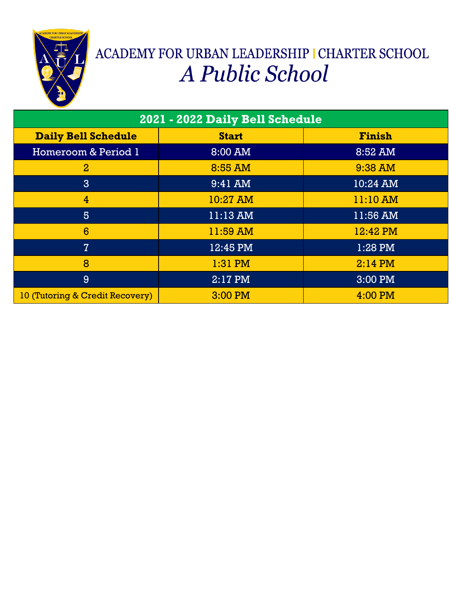

# ACADEMY FOR URBAN LEADERSHIP I CHARTER SCHOOL A Public School

| 2021 - 2022 Daily Bell Schedule |              |               |  |
|---------------------------------|--------------|---------------|--|
| <b>Daily Bell Schedule</b>      | <b>Start</b> | <b>Finish</b> |  |
| Homeroom & Period 1             | 8:00 AM      | 8:52 AM       |  |
| $\overline{2}$                  | 8:55 AM      | 9:38 AM       |  |
| $\mathbf{3}$                    | 9:41 AM      | 10:24 AM      |  |
| $\overline{4}$                  | 10:27 AM     | 11:10 AM      |  |
| 5                               | 11:13 AM     | 11:56 AM      |  |
| $6\phantom{1}6$                 | 11:59 AM     | 12:42 PM      |  |
| $\overline{7}$                  | 12:45 PM     | 1:28 PM       |  |
| 8                               | $1:31$ PM    | $2:14$ PM     |  |
| 9                               | 2:17 PM      | 3:00 PM       |  |
| 10 (Tutoring & Credit Recovery) | 3:00 PM      | 4:00 PM       |  |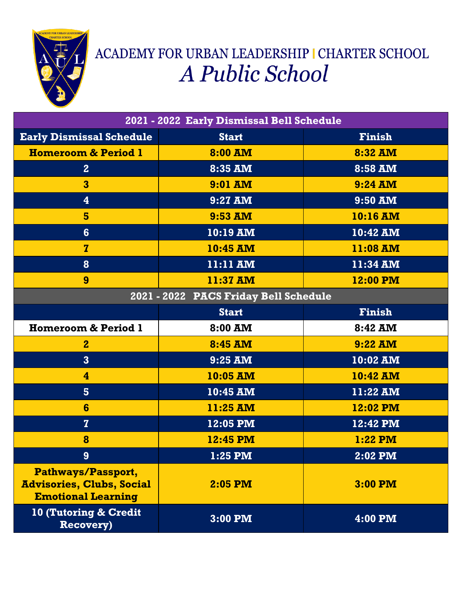

# ACADEMY FOR URBAN LEADERSHIP I CHARTER SCHOOL A Public School

| 2021 - 2022 Early Dismissal Bell Schedule                                           |                                       |               |  |
|-------------------------------------------------------------------------------------|---------------------------------------|---------------|--|
| <b>Early Dismissal Schedule</b>                                                     | <b>Start</b>                          | <b>Finish</b> |  |
| <b>Homeroom &amp; Period 1</b>                                                      | 8:00 AM                               | 8:32 AM       |  |
| $\overline{2}$                                                                      | 8:35 AM                               | 8:58 AM       |  |
| 3                                                                                   | $9:01$ AM                             | $9:24$ AM     |  |
| 4                                                                                   | 9:27 AM                               | 9:50 AM       |  |
| 5                                                                                   | 9:53 AM                               | 10:16 AM      |  |
| $6\phantom{1}$                                                                      | $10:19$ AM                            | 10:42 AM      |  |
| $\overline{z}$                                                                      | 10:45 AM                              | 11:08 AM      |  |
| 8                                                                                   | 11:11 AM                              | 11:34 AM      |  |
| 9                                                                                   | 11:37 AM                              | 12:00 PM      |  |
|                                                                                     | 2021 - 2022 PACS Friday Bell Schedule |               |  |
|                                                                                     | <b>Start</b>                          | <b>Finish</b> |  |
| <b>Homeroom &amp; Period 1</b>                                                      | $8:00$ AM                             | 8:42 AM       |  |
| $\mathbf{2}$                                                                        | 8:45 AM                               | $9:22$ AM     |  |
| $\overline{3}$                                                                      | 9:25 AM                               | 10:02 AM      |  |
| $\overline{\mathbf{4}}$                                                             | 10:05 AM                              | 10:42 AM      |  |
| 5 <sup>5</sup>                                                                      | 10:45 AM                              | 11:22 AM      |  |
| 6                                                                                   | 11:25 AM                              | 12:02 PM      |  |
| $\overline{z}$                                                                      | 12:05 PM                              | 12:42 PM      |  |
| 8                                                                                   | 12:45 PM                              | 1:22 PM       |  |
| 9                                                                                   | 1:25 PM                               | 2:02 PM       |  |
| Pathways/Passport,<br><b>Advisories, Clubs, Social</b><br><b>Emotional Learning</b> | $2:05$ PM                             | 3:00 PM       |  |
| 10 (Tutoring & Credit<br><b>Recovery)</b>                                           | $3:00$ PM                             | 4:00 PM       |  |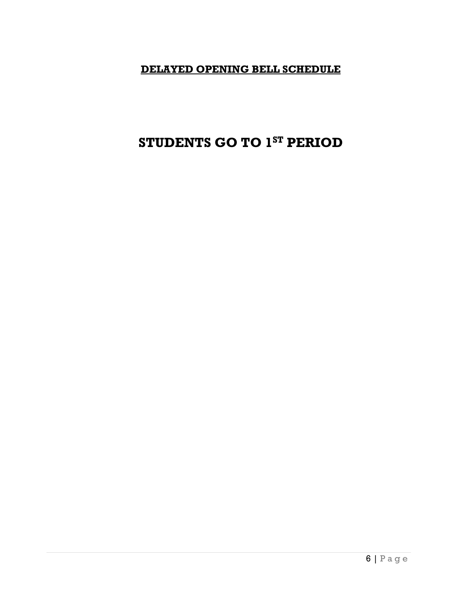### **DELAYED OPENING BELL SCHEDULE**

### **STUDENTS GO TO 1ST PERIOD**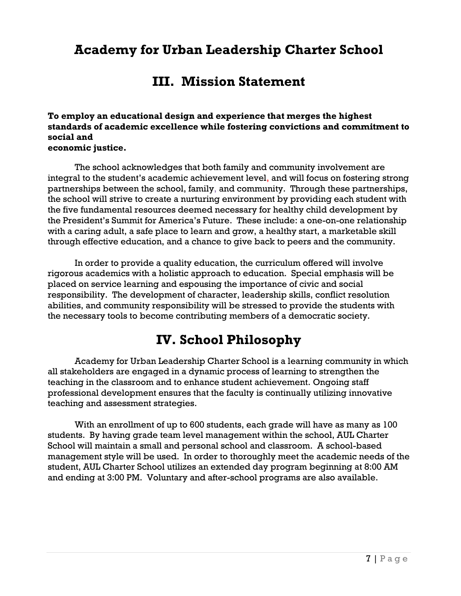### **Academy for Urban Leadership Charter School**

### **III. Mission Statement**

**To employ an educational design and experience that merges the highest standards of academic excellence while fostering convictions and commitment to social and economic justice.** 

The school acknowledges that both family and community involvement are integral to the student's academic achievement level, and will focus on fostering strong partnerships between the school, family, and community. Through these partnerships, the school will strive to create a nurturing environment by providing each student with the five fundamental resources deemed necessary for healthy child development by the President's Summit for America's Future. These include: a one-on-one relationship with a caring adult, a safe place to learn and grow, a healthy start, a marketable skill through effective education, and a chance to give back to peers and the community.

In order to provide a quality education, the curriculum offered will involve rigorous academics with a holistic approach to education. Special emphasis will be placed on service learning and espousing the importance of civic and social responsibility. The development of character, leadership skills, conflict resolution abilities, and community responsibility will be stressed to provide the students with the necessary tools to become contributing members of a democratic society.

### **IV. School Philosophy**

Academy for Urban Leadership Charter School is a learning community in which all stakeholders are engaged in a dynamic process of learning to strengthen the teaching in the classroom and to enhance student achievement. Ongoing staff professional development ensures that the faculty is continually utilizing innovative teaching and assessment strategies.

With an enrollment of up to 600 students, each grade will have as many as 100 students. By having grade team level management within the school, AUL Charter School will maintain a small and personal school and classroom. A school-based management style will be used. In order to thoroughly meet the academic needs of the student, AUL Charter School utilizes an extended day program beginning at 8:00 AM and ending at 3:00 PM. Voluntary and after-school programs are also available.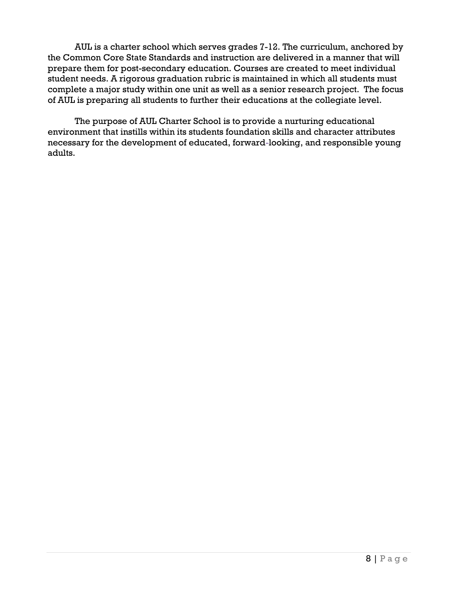AUL is a charter school which serves grades 7-12. The curriculum, anchored by the Common Core State Standards and instruction are delivered in a manner that will prepare them for post-secondary education. Courses are created to meet individual student needs. A rigorous graduation rubric is maintained in which all students must complete a major study within one unit as well as a senior research project. The focus of AUL is preparing all students to further their educations at the collegiate level.

The purpose of AUL Charter School is to provide a nurturing educational environment that instills within its students foundation skills and character attributes necessary for the development of educated, forward-looking, and responsible young adults.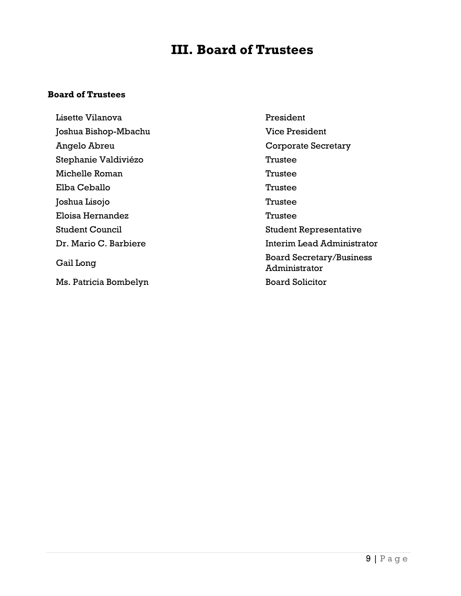### **III. Board of Trustees**

#### **Board of Trustees**

Lisette Vilanova President Joshua Bishop-Mbachu Vice President Angelo Abreu Corporate Secretary Stephanie Valdiviézo **Trustee** Michelle Roman Trustee Elba Ceballo Trustee Joshua Lisojo Trustee Eloisa Hernandez **Trustee** Student Council Student Representative Gail Long Board Secretary/Business

Dr. Mario C. Barbiere **Interim Lead Administrator** Administrator Ms. Patricia Bombelyn Board Solicitor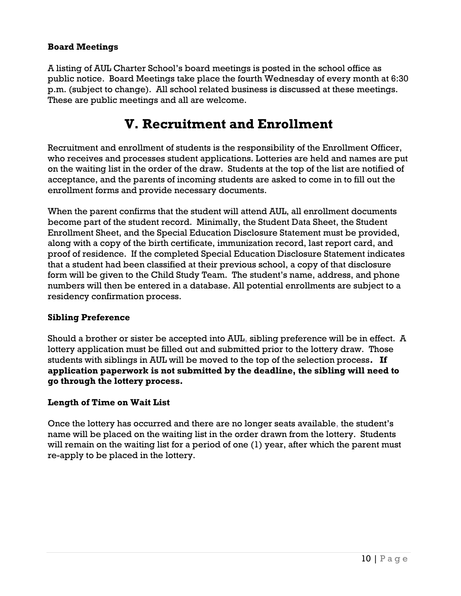### **Board Meetings**

A listing of AUL Charter School's board meetings is posted in the school office as public notice. Board Meetings take place the fourth Wednesday of every month at 6:30 p.m. (subject to change). All school related business is discussed at these meetings. These are public meetings and all are welcome.

### **V. Recruitment and Enrollment**

Recruitment and enrollment of students is the responsibility of the Enrollment Officer, who receives and processes student applications. Lotteries are held and names are put on the waiting list in the order of the draw. Students at the top of the list are notified of acceptance, and the parents of incoming students are asked to come in to fill out the enrollment forms and provide necessary documents.

When the parent confirms that the student will attend AUL, all enrollment documents become part of the student record. Minimally, the Student Data Sheet, the Student Enrollment Sheet, and the Special Education Disclosure Statement must be provided, along with a copy of the birth certificate, immunization record, last report card, and proof of residence. If the completed Special Education Disclosure Statement indicates that a student had been classified at their previous school, a copy of that disclosure form will be given to the Child Study Team. The student's name, address, and phone numbers will then be entered in a database. All potential enrollments are subject to a residency confirmation process.

### **Sibling Preference**

Should a brother or sister be accepted into AUL, sibling preference will be in effect. A lottery application must be filled out and submitted prior to the lottery draw. Those students with siblings in AUL will be moved to the top of the selection process**. If application paperwork is not submitted by the deadline, the sibling will need to go through the lottery process.**

### **Length of Time on Wait List**

Once the lottery has occurred and there are no longer seats available, the student's name will be placed on the waiting list in the order drawn from the lottery. Students will remain on the waiting list for a period of one (1) year, after which the parent must re-apply to be placed in the lottery.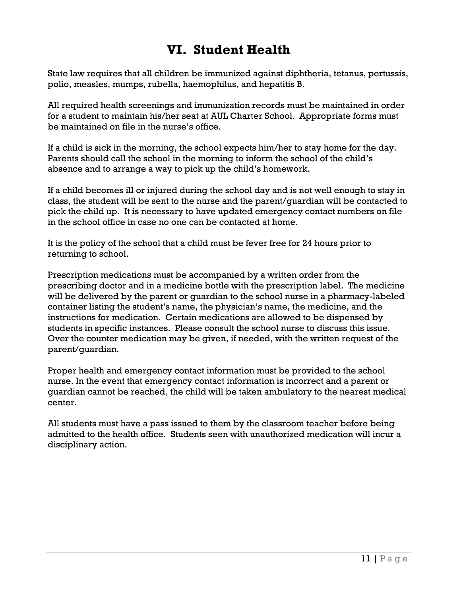### **VI. Student Health**

State law requires that all children be immunized against diphtheria, tetanus, pertussis, polio, measles, mumps, rubella, haemophilus, and hepatitis B.

All required health screenings and immunization records must be maintained in order for a student to maintain his/her seat at AUL Charter School. Appropriate forms must be maintained on file in the nurse's office.

If a child is sick in the morning, the school expects him/her to stay home for the day. Parents should call the school in the morning to inform the school of the child's absence and to arrange a way to pick up the child's homework.

If a child becomes ill or injured during the school day and is not well enough to stay in class, the student will be sent to the nurse and the parent/guardian will be contacted to pick the child up. It is necessary to have updated emergency contact numbers on file in the school office in case no one can be contacted at home.

It is the policy of the school that a child must be fever free for 24 hours prior to returning to school.

Prescription medications must be accompanied by a written order from the prescribing doctor and in a medicine bottle with the prescription label. The medicine will be delivered by the parent or guardian to the school nurse in a pharmacy-labeled container listing the student's name, the physician's name, the medicine, and the instructions for medication. Certain medications are allowed to be dispensed by students in specific instances. Please consult the school nurse to discuss this issue. Over the counter medication may be given, if needed, with the written request of the parent/guardian.

Proper health and emergency contact information must be provided to the school nurse. In the event that emergency contact information is incorrect and a parent or guardian cannot be reached, the child will be taken ambulatory to the nearest medical center.

All students must have a pass issued to them by the classroom teacher before being admitted to the health office. Students seen with unauthorized medication will incur a disciplinary action.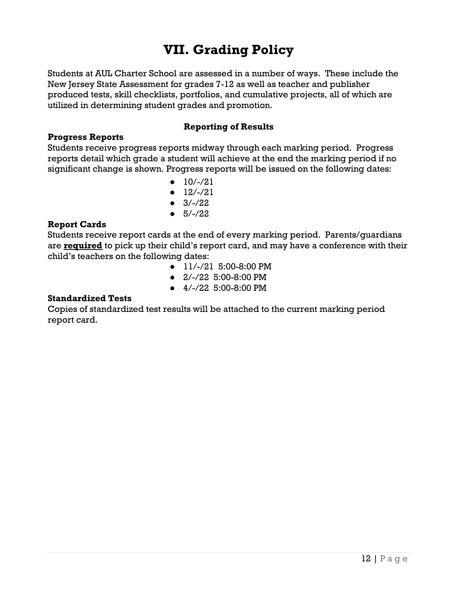### **VII. Grading Policy**

Students at AUL Charter School are assessed in a number of ways. These include the New Jersey State Assessment for grades 7-12 as well as teacher and publisher produced tests, skill checklists, portfolios, and cumulative projects, all of which are utilized in determining student grades and promotion.

### **Progress Reports**

### **Reporting of Results**

Students receive progress reports midway through each marking period. Progress reports detail which grade a student will achieve at the end the marking period if no significant change is shown. Progress reports will be issued on the following dates:

- $\bullet$  10/-/21
- $\bullet$  12/-/21
- $\bullet$  3/-/22
- $5/-/22$

### **Report Cards**

Students receive report cards at the end of every marking period. Parents/guardians are **required** to pick up their child's report card, and may have a conference with their child's teachers on the following dates:

- 11/-/21 5:00-8:00 PM
- 2/-/22 5:00-8:00 PM
- 4/-/22 5:00-8:00 PM

#### **Standardized Tests**

Copies of standardized test results will be attached to the current marking period report card.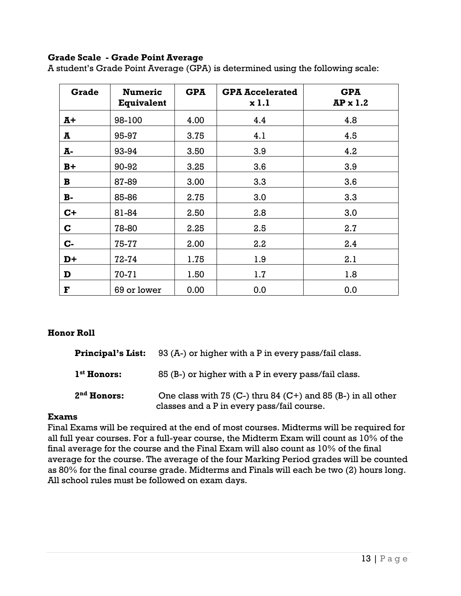### **Grade Scale - Grade Point Average**

A student's Grade Point Average (GPA) is determined using the following scale:

| Grade        | <b>Numeric</b><br><b>Equivalent</b> | <b>GPA</b> | <b>GPA Accelerated</b><br>x1.1 | <b>GPA</b><br>$AP \times 1.2$ |
|--------------|-------------------------------------|------------|--------------------------------|-------------------------------|
| $A+$         | 98-100                              | 4.00       | 4.4                            | 4.8                           |
| A            | 95-97                               | 3.75       | 4.1                            | 4.5                           |
| Ā-           | 93-94                               | 3.50       | 3.9                            | 4.2                           |
| $B+$         | 90-92                               | 3.25       | 3.6                            | 3.9                           |
| $\mathbf{B}$ | 87-89                               | 3.00       | 3.3                            | 3.6                           |
| $B -$        | 85-86                               | 2.75       | 3.0                            | 3.3                           |
| $C+$         | 81-84                               | 2.50       | 2.8                            | 3.0                           |
| $\mathbf C$  | 78-80                               | 2.25       | 2.5                            | 2.7                           |
| C-           | 75-77                               | 2.00       | 2.2                            | 2.4                           |
| $D+$         | $72 - 74$                           | 1.75       | 1.9                            | 2.1                           |
| D            | $70 - 71$                           | 1.50       | 1.7                            | 1.8                           |
| ${\bf F}$    | 69 or lower                         | 0.00       | 0.0                            | 0.0                           |

### **Honor Roll**

| <b>Principal's List:</b> | 93 (A-) or higher with a P in every pass/fail class.                                                         |
|--------------------------|--------------------------------------------------------------------------------------------------------------|
| 1 <sup>st</sup> Honors:  | 85 (B-) or higher with a P in every pass/fail class.                                                         |
| $2nd$ Honors:            | One class with $75$ (C-) thru 84 (C+) and 85 (B-) in all other<br>classes and a P in every pass/fail course. |

### **Exams**

Final Exams will be required at the end of most courses. Midterms will be required for all full year courses. For a full-year course, the Midterm Exam will count as 10% of the final average for the course and the Final Exam will also count as 10% of the final average for the course. The average of the four Marking Period grades will be counted as 80% for the final course grade. Midterms and Finals will each be two (2) hours long. All school rules must be followed on exam days.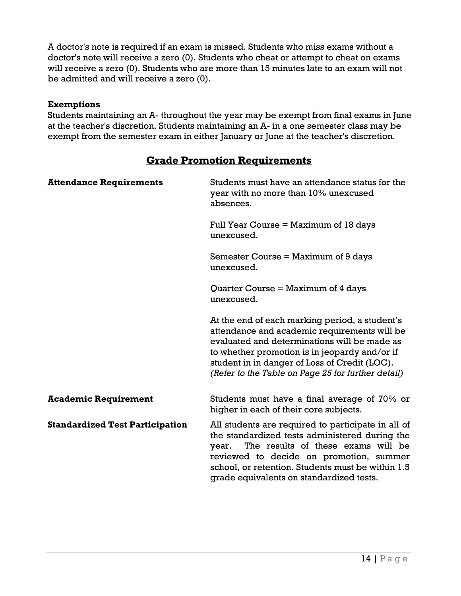A doctor's note is required if an exam is missed. Students who miss exams without a doctor's note will receive a zero (0). Students who cheat or attempt to cheat on exams will receive a zero (0). Students who are more than 15 minutes late to an exam will not be admitted and will receive a zero (0).

### **Exemptions**

Students maintaining an A- throughout the year may be exempt from final exams in June at the teacher's discretion. Students maintaining an A- in a one semester class may be exempt from the semester exam in either January or June at the teacher's discretion.

### **Grade Promotion Requirements**

| <b>Attendance Requirements</b>         | Students must have an attendance status for the<br>year with no more than 10% unexcused<br>absences.                                                                                                                                                                                                   |
|----------------------------------------|--------------------------------------------------------------------------------------------------------------------------------------------------------------------------------------------------------------------------------------------------------------------------------------------------------|
|                                        | Full Year Course $=$ Maximum of 18 days<br>unexcused.                                                                                                                                                                                                                                                  |
|                                        | Semester Course $=$ Maximum of 9 days<br>unexcused.                                                                                                                                                                                                                                                    |
|                                        | Quarter Course = Maximum of 4 days<br>unexcused.                                                                                                                                                                                                                                                       |
|                                        | At the end of each marking period, a student's<br>attendance and academic requirements will be<br>evaluated and determinations will be made as<br>to whether promotion is in jeopardy and/or if<br>student in in danger of Loss of Credit (LOC).<br>(Refer to the Table on Page 25 for further detail) |
| <b>Academic Requirement</b>            | Students must have a final average of $70\%$ or<br>higher in each of their core subjects.                                                                                                                                                                                                              |
| <b>Standardized Test Participation</b> | All students are required to participate in all of<br>the standardized tests administered during the<br>The results of these exams will be<br>year.<br>reviewed to decide on promotion, summer<br>school, or retention. Students must be within 1.5<br>grade equivalents on standardized tests.        |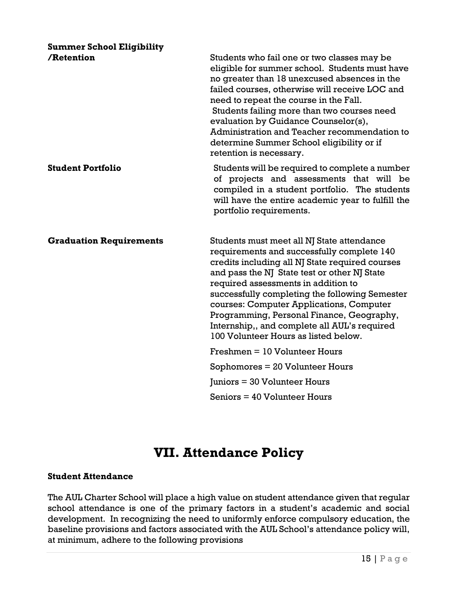### **Summer School Eligibility**

| /Retention                     | Students who fail one or two classes may be<br>eligible for summer school. Students must have<br>no greater than 18 unexcused absences in the<br>failed courses, otherwise will receive LOC and<br>need to repeat the course in the Fall.<br>Students failing more than two courses need<br>evaluation by Guidance Counselor(s),<br>Administration and Teacher recommendation to<br>determine Summer School eligibility or if<br>retention is necessary.              |
|--------------------------------|-----------------------------------------------------------------------------------------------------------------------------------------------------------------------------------------------------------------------------------------------------------------------------------------------------------------------------------------------------------------------------------------------------------------------------------------------------------------------|
| <b>Student Portfolio</b>       | Students will be required to complete a number<br>of projects and assessments that will be<br>compiled in a student portfolio. The students<br>will have the entire academic year to fulfill the<br>portfolio requirements.                                                                                                                                                                                                                                           |
| <b>Graduation Requirements</b> | Students must meet all NJ State attendance<br>requirements and successfully complete 140<br>credits including all NJ State required courses<br>and pass the NJ State test or other NJ State<br>required assessments in addition to<br>successfully completing the following Semester<br>courses: Computer Applications, Computer<br>Programming, Personal Finance, Geography,<br>Internship,, and complete all AUL's required<br>100 Volunteer Hours as listed below. |
|                                | $Freshmen = 10 Volumeer Hours$                                                                                                                                                                                                                                                                                                                                                                                                                                        |
|                                | Sophomores $= 20$ Volunteer Hours                                                                                                                                                                                                                                                                                                                                                                                                                                     |
|                                | Juniors = 30 Volunteer Hours                                                                                                                                                                                                                                                                                                                                                                                                                                          |
|                                | Seniors = 40 Volunteer Hours                                                                                                                                                                                                                                                                                                                                                                                                                                          |

### **VII. Attendance Policy**

### **Student Attendance**

The AUL Charter School will place a high value on student attendance given that regular school attendance is one of the primary factors in a student's academic and social development. In recognizing the need to uniformly enforce compulsory education, the baseline provisions and factors associated with the AUL School's attendance policy will, at minimum, adhere to the following provisions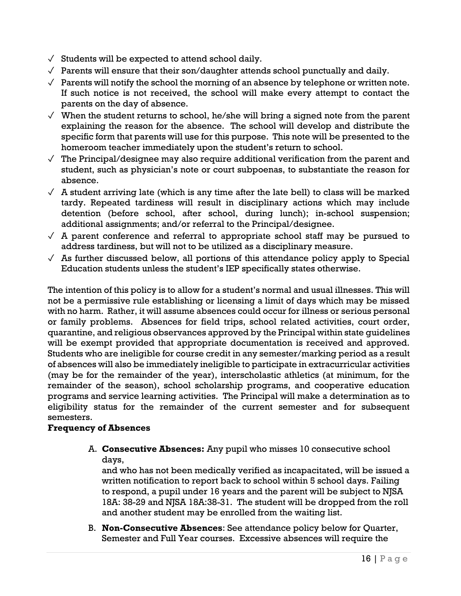- $\sqrt{\ }$  Students will be expected to attend school daily.
- $\sqrt{\ }$  Parents will ensure that their son/daughter attends school punctually and daily.
- $\sqrt{ }$  Parents will notify the school the morning of an absence by telephone or written note. If such notice is not received, the school will make every attempt to contact the parents on the day of absence.
- $\sqrt{ }$  When the student returns to school, he/she will bring a signed note from the parent explaining the reason for the absence. The school will develop and distribute the specific form that parents will use for this purpose. This note will be presented to the homeroom teacher immediately upon the student's return to school.
- $\sqrt{\ }$  The Principal/designee may also require additional verification from the parent and student, such as physician's note or court subpoenas, to substantiate the reason for absence.
- $\sqrt{ }$  A student arriving late (which is any time after the late bell) to class will be marked tardy. Repeated tardiness will result in disciplinary actions which may include detention (before school, after school, during lunch); in-school suspension; additional assignments; and/or referral to the Principal/designee.
- $\sqrt{ }$  A parent conference and referral to appropriate school staff may be pursued to address tardiness, but will not to be utilized as a disciplinary measure.
- $\sqrt{ }$  As further discussed below, all portions of this attendance policy apply to Special Education students unless the student's IEP specifically states otherwise.

The intention of this policy is to allow for a student's normal and usual illnesses. This will not be a permissive rule establishing or licensing a limit of days which may be missed with no harm. Rather, it will assume absences could occur for illness or serious personal or family problems. Absences for field trips, school related activities, court order, quarantine, and religious observances approved by the Principal within state guidelines will be exempt provided that appropriate documentation is received and approved. Students who are ineligible for course credit in any semester/marking period as a result of absences will also be immediately ineligible to participate in extracurricular activities (may be for the remainder of the year), interscholastic athletics (at minimum, for the remainder of the season), school scholarship programs, and cooperative education programs and service learning activities. The Principal will make a determination as to eligibility status for the remainder of the current semester and for subsequent semesters.

### **Frequency of Absences**

A. **Consecutive Absences:** Any pupil who misses 10 consecutive school days,

and who has not been medically verified as incapacitated, will be issued a written notification to report back to school within 5 school days. Failing to respond, a pupil under 16 years and the parent will be subject to NJSA 18A: 38-29 and NJSA 18A:38-31. The student will be dropped from the roll and another student may be enrolled from the waiting list.

B. **Non-Consecutive Absences**: See attendance policy below for Quarter, Semester and Full Year courses. Excessive absences will require the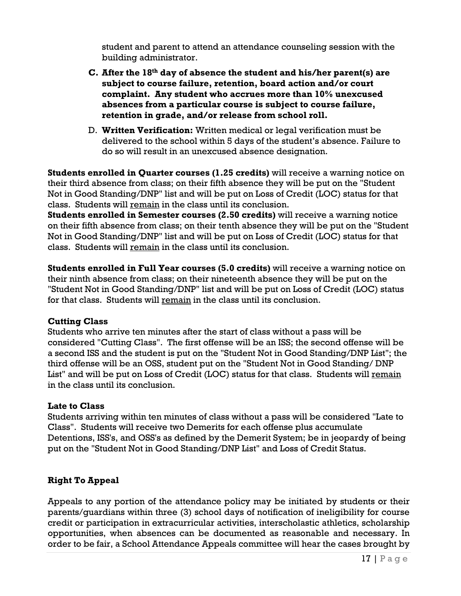student and parent to attend an attendance counseling session with the building administrator.

- **C. After the 18th day of absence the student and his/her parent(s) are subject to course failure, retention, board action and/or court complaint. Any student who accrues more than 10% unexcused absences from a particular course is subject to course failure, retention in grade, and/or release from school roll.**
- D. **Written Verification:** Written medical or legal verification must be delivered to the school within 5 days of the student's absence. Failure to do so will result in an unexcused absence designation.

**Students enrolled in Quarter courses (1.25 credits)** will receive a warning notice on their third absence from class; on their fifth absence they will be put on the "Student Not in Good Standing/DNP" list and will be put on Loss of Credit (LOC) status for that class. Students will remain in the class until its conclusion.

**Students enrolled in Semester courses (2.50 credits)** will receive a warning notice on their fifth absence from class; on their tenth absence they will be put on the "Student Not in Good Standing/DNP" list and will be put on Loss of Credit (LOC) status for that class. Students will remain in the class until its conclusion.

**Students enrolled in Full Year courses (5.0 credits)** will receive a warning notice on their ninth absence from class; on their nineteenth absence they will be put on the "Student Not in Good Standing/DNP" list and will be put on Loss of Credit (LOC) status for that class. Students will remain in the class until its conclusion.

### **Cutting Class**

Students who arrive ten minutes after the start of class without a pass will be considered "Cutting Class". The first offense will be an ISS; the second offense will be a second ISS and the student is put on the "Student Not in Good Standing/DNP List"; the third offense will be an OSS, student put on the "Student Not in Good Standing/ DNP List" and will be put on Loss of Credit (LOC) status for that class. Students will remain in the class until its conclusion.

### **Late to Class**

Students arriving within ten minutes of class without a pass will be considered "Late to Class". Students will receive two Demerits for each offense plus accumulate Detentions, ISS's, and OSS's as defined by the Demerit System; be in jeopardy of being put on the "Student Not in Good Standing/DNP List" and Loss of Credit Status.

### **Right To Appeal**

Appeals to any portion of the attendance policy may be initiated by students or their parents/guardians within three (3) school days of notification of ineligibility for course credit or participation in extracurricular activities, interscholastic athletics, scholarship opportunities, when absences can be documented as reasonable and necessary. In order to be fair, a School Attendance Appeals committee will hear the cases brought by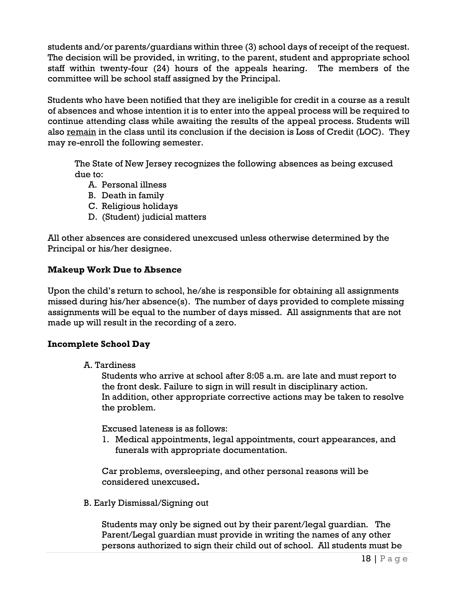students and/or parents/guardians within three (3) school days of receipt of the request. The decision will be provided, in writing, to the parent, student and appropriate school staff within twenty-four (24) hours of the appeals hearing. The members of the committee will be school staff assigned by the Principal.

Students who have been notified that they are ineligible for credit in a course as a result of absences and whose intention it is to enter into the appeal process will be required to continue attending class while awaiting the results of the appeal process. Students will also remain in the class until its conclusion if the decision is Loss of Credit (LOC).They may re-enroll the following semester.

The State of New Jersey recognizes the following absences as being excused due to:

- A. Personal illness
- B. Death in family
- C. Religious holidays
- D. (Student) judicial matters

All other absences are considered unexcused unless otherwise determined by the Principal or his/her designee.

### **Makeup Work Due to Absence**

Upon the child's return to school, he/she is responsible for obtaining all assignments missed during his/her absence(s). The number of days provided to complete missing assignments will be equal to the number of days missed. All assignments that are not made up will result in the recording of a zero.

### **Incomplete School Day**

A. Tardiness

Students who arrive at school after 8:05 a.m. are late and must report to the front desk. Failure to sign in will result in disciplinary action. In addition, other appropriate corrective actions may be taken to resolve the problem.

Excused lateness is as follows:

1. Medical appointments, legal appointments, court appearances, and funerals with appropriate documentation.

Car problems, oversleeping, and other personal reasons will be considered unexcused**.**

B. Early Dismissal/Signing out

 Students may only be signed out by their parent/legal guardian. The Parent/Legal guardian must provide in writing the names of any other persons authorized to sign their child out of school. All students must be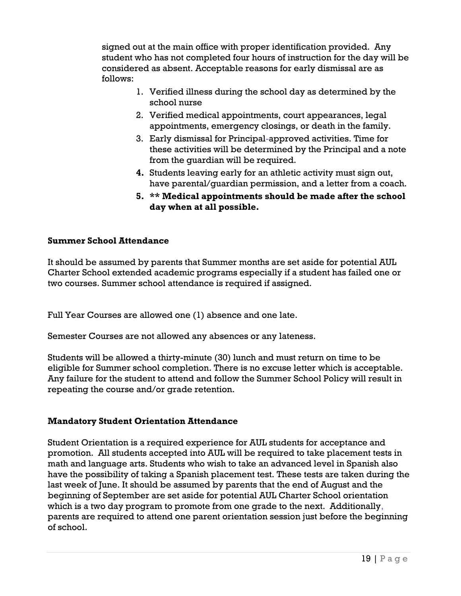signed out at the main office with proper identification provided. Any student who has not completed four hours of instruction for the day will be considered as absent. Acceptable reasons for early dismissal are as follows:

- 1. Verified illness during the school day as determined by the school nurse
- 2. Verified medical appointments, court appearances, legal appointments, emergency closings, or death in the family.
- 3. Early dismissal for Principal-approved activities. Time for these activities will be determined by the Principal and a note from the guardian will be required.
- **4.** Students leaving early for an athletic activity must sign out, have parental/guardian permission, and a letter from a coach.
- **5. \*\* Medical appointments should be made after the school day when at all possible.**

### **Summer School Attendance**

It should be assumed by parents that Summer months are set aside for potential AUL Charter School extended academic programs especially if a student has failed one or two courses. Summer school attendance is required if assigned.

Full Year Courses are allowed one (1) absence and one late.

Semester Courses are not allowed any absences or any lateness.

Students will be allowed a thirty-minute (30) lunch and must return on time to be eligible for Summer school completion. There is no excuse letter which is acceptable. Any failure for the student to attend and follow the Summer School Policy will result in repeating the course and/or grade retention.

### **Mandatory Student Orientation Attendance**

Student Orientation is a required experience for AUL students for acceptance and promotion. All students accepted into AUL will be required to take placement tests in math and language arts. Students who wish to take an advanced level in Spanish also have the possibility of taking a Spanish placement test. These tests are taken during the last week of June. It should be assumed by parents that the end of August and the beginning of September are set aside for potential AUL Charter School orientation which is a two day program to promote from one grade to the next. Additionally, parents are required to attend one parent orientation session just before the beginning of school.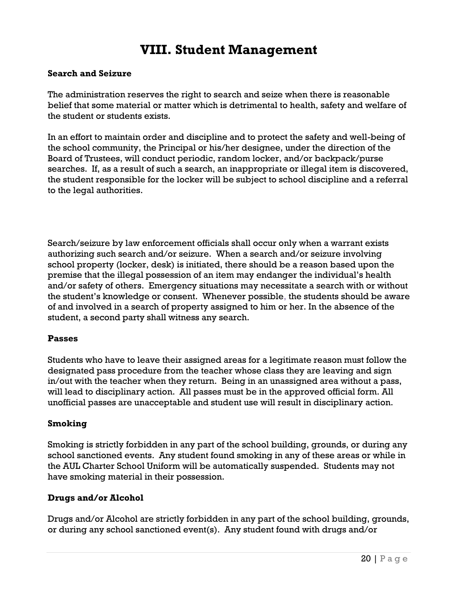### **VIII. Student Management**

### **Search and Seizure**

The administration reserves the right to search and seize when there is reasonable belief that some material or matter which is detrimental to health, safety and welfare of the student or students exists.

In an effort to maintain order and discipline and to protect the safety and well-being of the school community, the Principal or his/her designee, under the direction of the Board of Trustees, will conduct periodic, random locker, and/or backpack/purse searches. If, as a result of such a search, an inappropriate or illegal item is discovered, the student responsible for the locker will be subject to school discipline and a referral to the legal authorities.

Search/seizure by law enforcement officials shall occur only when a warrant exists authorizing such search and/or seizure. When a search and/or seizure involving school property (locker, desk) is initiated, there should be a reason based upon the premise that the illegal possession of an item may endanger the individual's health and/or safety of others. Emergency situations may necessitate a search with or without the student's knowledge or consent. Whenever possible, the students should be aware of and involved in a search of property assigned to him or her. In the absence of the student, a second party shall witness any search.

#### **Passes**

Students who have to leave their assigned areas for a legitimate reason must follow the designated pass procedure from the teacher whose class they are leaving and sign in/out with the teacher when they return. Being in an unassigned area without a pass, will lead to disciplinary action. All passes must be in the approved official form. All unofficial passes are unacceptable and student use will result in disciplinary action.

#### **Smoking**

Smoking is strictly forbidden in any part of the school building, grounds, or during any school sanctioned events. Any student found smoking in any of these areas or while in the AUL Charter School Uniform will be automatically suspended. Students may not have smoking material in their possession.

### **Drugs and/or Alcohol**

Drugs and/or Alcohol are strictly forbidden in any part of the school building, grounds, or during any school sanctioned event(s). Any student found with drugs and/or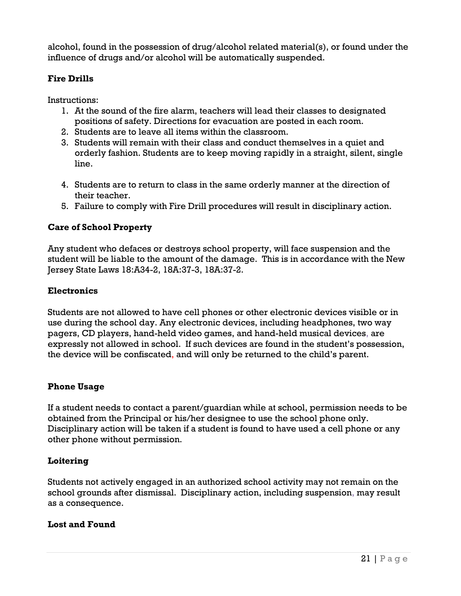alcohol, found in the possession of drug/alcohol related material(s), or found under the influence of drugs and/or alcohol will be automatically suspended.

### **Fire Drills**

Instructions:

- 1. At the sound of the fire alarm, teachers will lead their classes to designated positions of safety. Directions for evacuation are posted in each room.
- 2. Students are to leave all items within the classroom.
- 3. Students will remain with their class and conduct themselves in a quiet and orderly fashion. Students are to keep moving rapidly in a straight, silent, single line.
- 4. Students are to return to class in the same orderly manner at the direction of their teacher.
- 5. Failure to comply with Fire Drill procedures will result in disciplinary action.

### **Care of School Property**

Any student who defaces or destroys school property, will face suspension and the student will be liable to the amount of the damage. This is in accordance with the New Jersey State Laws 18:A34-2, 18A:37-3, 18A:37-2.

### **Electronics**

Students are not allowed to have cell phones or other electronic devices visible or in use during the school day. Any electronic devices, including headphones, two way pagers, CD players, hand-held video games, and hand-held musical devices, are expressly not allowed in school. If such devices are found in the student's possession, the device will be confiscated, and will only be returned to the child's parent.

### **Phone Usage**

If a student needs to contact a parent/guardian while at school, permission needs to be obtained from the Principal or his/her designee to use the school phone only. Disciplinary action will be taken if a student is found to have used a cell phone or any other phone without permission.

### **Loitering**

Students not actively engaged in an authorized school activity may not remain on the school grounds after dismissal. Disciplinary action, including suspension, may result as a consequence.

### **Lost and Found**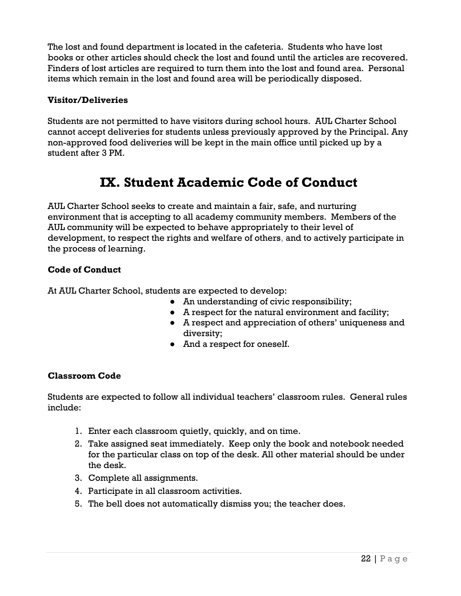The lost and found department is located in the cafeteria. Students who have lost books or other articles should check the lost and found until the articles are recovered. Finders of lost articles are required to turn them into the lost and found area. Personal items which remain in the lost and found area will be periodically disposed.

### **Visitor/Deliveries**

Students are not permitted to have visitors during school hours. AUL Charter School cannot accept deliveries for students unless previously approved by the Principal. Any non-approved food deliveries will be kept in the main office until picked up by a student after 3 PM.

### **IX. Student Academic Code of Conduct**

AUL Charter School seeks to create and maintain a fair, safe, and nurturing environment that is accepting to all academy community members. Members of the AUL community will be expected to behave appropriately to their level of development, to respect the rights and welfare of others, and to actively participate in the process of learning.

### **Code of Conduct**

At AUL Charter School, students are expected to develop:

- An understanding of civic responsibility;
- A respect for the natural environment and facility;
- A respect and appreciation of others' uniqueness and diversity;
- And a respect for oneself.

### **Classroom Code**

Students are expected to follow all individual teachers' classroom rules. General rules include:

- 1. Enter each classroom quietly, quickly, and on time.
- 2. Take assigned seat immediately. Keep only the book and notebook needed for the particular class on top of the desk. All other material should be under the desk.
- 3. Complete all assignments.
- 4. Participate in all classroom activities.
- 5. The bell does not automatically dismiss you; the teacher does.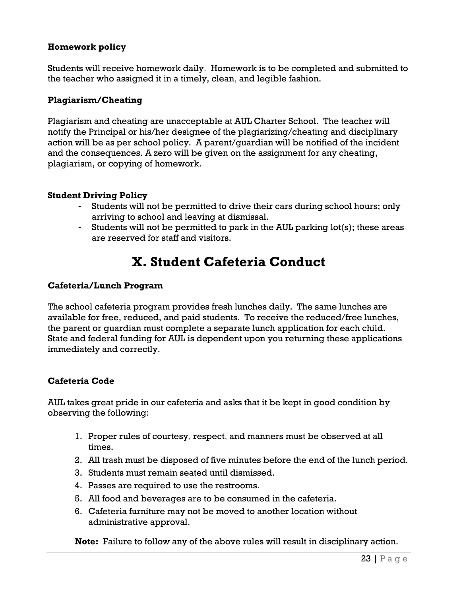### **Homework policy**

Students will receive homework daily. Homework is to be completed and submitted to the teacher who assigned it in a timely, clean, and legible fashion.

### **Plagiarism/Cheating**

Plagiarism and cheating are unacceptable at AUL Charter School. The teacher will notify the Principal or his/her designee of the plagiarizing/cheating and disciplinary action will be as per school policy. A parent/guardian will be notified of the incident and the consequences. A zero will be given on the assignment for any cheating, plagiarism, or copying of homework.

### **Student Driving Policy**

- Students will not be permitted to drive their cars during school hours; only arriving to school and leaving at dismissal.
- Students will not be permitted to park in the AUL parking lot(s); these areas are reserved for staff and visitors.

### **X. Student Cafeteria Conduct**

### **Cafeteria/Lunch Program**

The school cafeteria program provides fresh lunches daily. The same lunches are available for free, reduced, and paid students. To receive the reduced/free lunches, the parent or guardian must complete a separate lunch application for each child. State and federal funding for AUL is dependent upon you returning these applications immediately and correctly.

### **Cafeteria Code**

AUL takes great pride in our cafeteria and asks that it be kept in good condition by observing the following:

- 1. Proper rules of courtesy, respect, and manners must be observed at all times.
- 2. All trash must be disposed of five minutes before the end of the lunch period.
- 3. Students must remain seated until dismissed.
- 4. Passes are required to use the restrooms.
- 5. All food and beverages are to be consumed in the cafeteria.
- 6. Cafeteria furniture may not be moved to another location without administrative approval.

**Note:** Failure to follow any of the above rules will result in disciplinary action.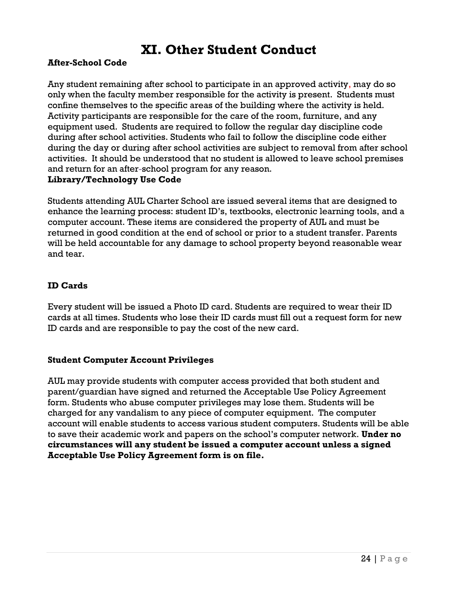### **XI. Other Student Conduct**

### **After-School Code**

Any student remaining after school to participate in an approved activity, may do so only when the faculty member responsible for the activity is present. Students must confine themselves to the specific areas of the building where the activity is held. Activity participants are responsible for the care of the room, furniture, and any equipment used. Students are required to follow the regular day discipline code during after school activities. Students who fail to follow the discipline code either during the day or during after school activities are subject to removal from after school activities. It should be understood that no student is allowed to leave school premises and return for an after-school program for any reason.

#### **Library/Technology Use Code**

Students attending AUL Charter School are issued several items that are designed to enhance the learning process: student ID's, textbooks, electronic learning tools, and a computer account. These items are considered the property of AUL and must be returned in good condition at the end of school or prior to a student transfer. Parents will be held accountable for any damage to school property beyond reasonable wear and tear.

### **ID Cards**

Every student will be issued a Photo ID card. Students are required to wear their ID cards at all times. Students who lose their ID cards must fill out a request form for new ID cards and are responsible to pay the cost of the new card.

#### **Student Computer Account Privileges**

AUL may provide students with computer access provided that both student and parent/guardian have signed and returned the Acceptable Use Policy Agreement form. Students who abuse computer privileges may lose them. Students will be charged for any vandalism to any piece of computer equipment. The computer account will enable students to access various student computers. Students will be able to save their academic work and papers on the school's computer network. **Under no circumstances will any student be issued a computer account unless a signed Acceptable Use Policy Agreement form is on file.**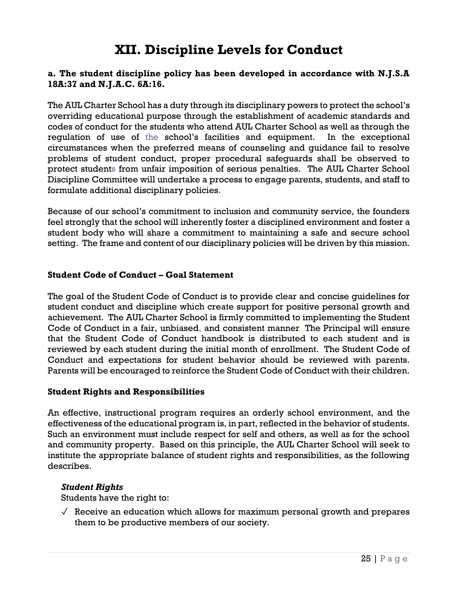### **XII. Discipline Levels for Conduct**

### **a. The student discipline policy has been developed in accordance with N.J.S.A 18A:37 and N.J.A.C. 6A:16.**

The AUL Charter School has a duty through its disciplinary powers to protect the school's overriding educational purpose through the establishment of academic standards and codes of conduct for the students who attend AUL Charter School as well as through the regulation of use of the school's facilities and equipment. In the exceptional circumstances when the preferred means of counseling and guidance fail to resolve problems of student conduct, proper procedural safeguards shall be observed to protect students from unfair imposition of serious penalties. The AUL Charter School Discipline Committee will undertake a process to engage parents, students, and staff to formulate additional disciplinary policies.

Because of our school's commitment to inclusion and community service, the founders feel strongly that the school will inherently foster a disciplined environment and foster a student body who will share a commitment to maintaining a safe and secure school setting. The frame and content of our disciplinary policies will be driven by this mission.

### **Student Code of Conduct – Goal Statement**

The goal of the Student Code of Conduct is to provide clear and concise guidelines for student conduct and discipline which create support for positive personal growth and achievement. The AUL Charter School is firmly committed to implementing the Student Code of Conduct in a fair, unbiased, and consistent manner. The Principal will ensure that the Student Code of Conduct handbook is distributed to each student and is reviewed by each student during the initial month of enrollment. The Student Code of Conduct and expectations for student behavior should be reviewed with parents. Parents will be encouraged to reinforce the Student Code of Conduct with their children.

#### **Student Rights and Responsibilities**

An effective, instructional program requires an orderly school environment, and the effectiveness of the educational program is, in part, reflected in the behavior of students. Such an environment must include respect for self and others, as well as for the school and community property. Based on this principle, the AUL Charter School will seek to institute the appropriate balance of student rights and responsibilities, as the following describes.

#### *Student Rights*

Students have the right to:

 $\sqrt{\ }$  Receive an education which allows for maximum personal growth and prepares them to be productive members of our society.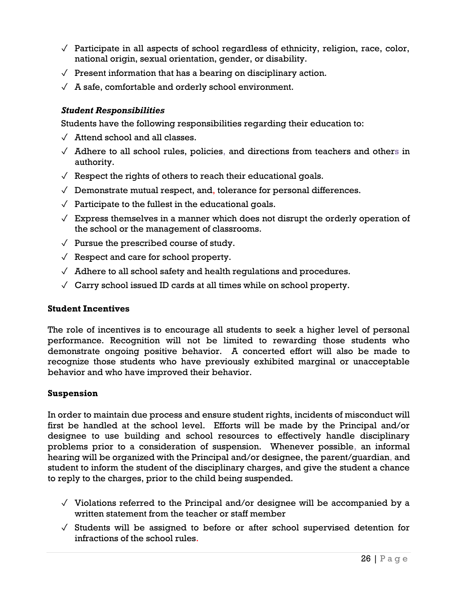- $\sqrt{\ }$  Participate in all aspects of school regardless of ethnicity, religion, race, color, national origin, sexual orientation, gender, or disability.
- $\sqrt{ }$  Present information that has a bearing on disciplinary action.
- $\sqrt{A}$  safe, comfortable and orderly school environment.

### *Student Responsibilities*

Students have the following responsibilities regarding their education to:

- $\sqrt{\phantom{a}}$  Attend school and all classes.
- $\sqrt{ }$  Adhere to all school rules, policies, and directions from teachers and others in authority.
- $\sqrt{\ }$  Respect the rights of others to reach their educational goals.
- $\sqrt{\phantom{a}}$  Demonstrate mutual respect, and, tolerance for personal differences.
- $\sqrt{\phantom{a}}$  Participate to the fullest in the educational goals.
- $\sqrt{\phantom{a}}$  Express themselves in a manner which does not disrupt the orderly operation of the school or the management of classrooms.
- $\sqrt{\ }$  Pursue the prescribed course of study.
- $\sqrt{\ }$  Respect and care for school property.
- $\sqrt{\ }$  Adhere to all school safety and health regulations and procedures.
- $\sqrt{\phantom{a}}$  Carry school issued ID cards at all times while on school property.

#### **Student Incentives**

The role of incentives is to encourage all students to seek a higher level of personal performance. Recognition will not be limited to rewarding those students who demonstrate ongoing positive behavior. A concerted effort will also be made to recognize those students who have previously exhibited marginal or unacceptable behavior and who have improved their behavior.

#### **Suspension**

In order to maintain due process and ensure student rights, incidents of misconduct will first be handled at the school level. Efforts will be made by the Principal and/or designee to use building and school resources to effectively handle disciplinary problems prior to a consideration of suspension. Whenever possible, an informal hearing will be organized with the Principal and/or designee, the parent/guardian, and student to inform the student of the disciplinary charges, and give the student a chance to reply to the charges, prior to the child being suspended.

- $\sqrt{\ }$  Violations referred to the Principal and/or designee will be accompanied by a written statement from the teacher or staff member
- $\sqrt{\ }$  Students will be assigned to before or after school supervised detention for infractions of the school rules.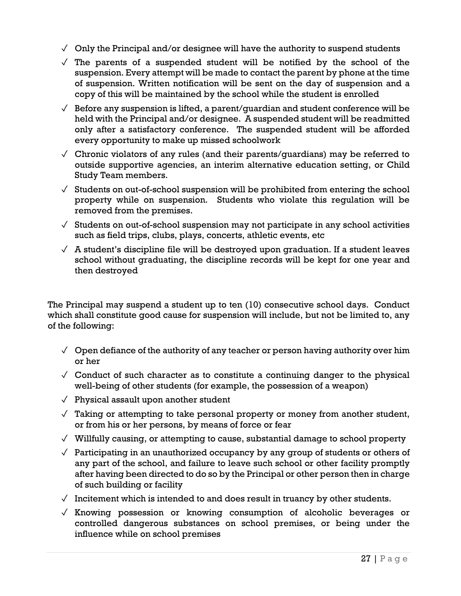- $\sqrt{\phantom{a}}$  Only the Principal and/or designee will have the authority to suspend students
- $\sqrt{ }$  The parents of a suspended student will be notified by the school of the suspension. Every attempt will be made to contact the parent by phone at the time of suspension. Written notification will be sent on the day of suspension and a copy of this will be maintained by the school while the student is enrolled
- $\sqrt{\phantom{a}}$  Before any suspension is lifted, a parent/quardian and student conference will be held with the Principal and/or designee. A suspended student will be readmitted only after a satisfactory conference. The suspended student will be afforded every opportunity to make up missed schoolwork
- $\sqrt{\frac{1}{\pi}}$  Chronic violators of any rules (and their parents/quardians) may be referred to outside supportive agencies, an interim alternative education setting, or Child Study Team members.
- $\sqrt{\frac{1}{1}}$  Students on out-of-school suspension will be prohibited from entering the school property while on suspension. Students who violate this regulation will be removed from the premises.
- $\sqrt{\frac{1}{10}}$  Students on out-of-school suspension may not participate in any school activities such as field trips, clubs, plays, concerts, athletic events, etc
- $\sqrt{ }$  A student's discipline file will be destroyed upon graduation. If a student leaves school without graduating, the discipline records will be kept for one year and then destroyed

The Principal may suspend a student up to ten (10) consecutive school days. Conduct which shall constitute good cause for suspension will include, but not be limited to, any of the following:

- $\sqrt{2}$  Open defiance of the authority of any teacher or person having authority over him or her
- $\sqrt{\phantom{a}}$  Conduct of such character as to constitute a continuing danger to the physical well-being of other students (for example, the possession of a weapon)
- $\sqrt{\ }$  Physical assault upon another student
- $\sqrt{\phantom{a}}$  Taking or attempting to take personal property or money from another student, or from his or her persons, by means of force or fear
- $\sqrt{\ }$  Willfully causing, or attempting to cause, substantial damage to school property
- $\sqrt{\ }$  Participating in an unauthorized occupancy by any group of students or others of any part of the school, and failure to leave such school or other facility promptly after having been directed to do so by the Principal or other person then in charge of such building or facility
- $\sqrt{\phantom{a}}$  Incitement which is intended to and does result in truancy by other students.
- $\sqrt{2}$  Knowing possession or knowing consumption of alcoholic beverages or controlled dangerous substances on school premises, or being under the influence while on school premises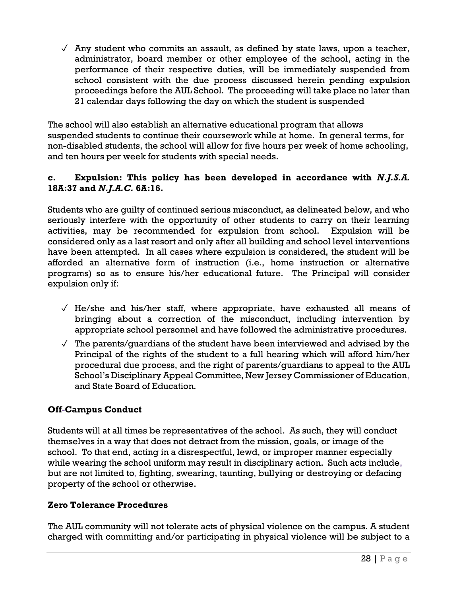$\sqrt{\phantom{a}}$  Any student who commits an assault, as defined by state laws, upon a teacher, administrator, board member or other employee of the school, acting in the performance of their respective duties, will be immediately suspended from school consistent with the due process discussed herein pending expulsion proceedings before the AUL School. The proceeding will take place no later than 21 calendar days following the day on which the student is suspended

The school will also establish an alternative educational program that allows suspended students to continue their coursework while at home. In general terms, for non-disabled students, the school will allow for five hours per week of home schooling, and ten hours per week for students with special needs.

### **c. Expulsion: This policy has been developed in accordance with** *N.J.S.A.* **18A:37 and** *N.J.A.C.* **6A:16.**

Students who are guilty of continued serious misconduct, as delineated below, and who seriously interfere with the opportunity of other students to carry on their learning activities, may be recommended for expulsion from school. Expulsion will be considered only as a last resort and only after all building and school level interventions have been attempted. In all cases where expulsion is considered, the student will be afforded an alternative form of instruction (i.e., home instruction or alternative programs) so as to ensure his/her educational future. The Principal will consider expulsion only if:

- $\sqrt{ }$  He/she and his/her staff, where appropriate, have exhausted all means of bringing about a correction of the misconduct, including intervention by appropriate school personnel and have followed the administrative procedures.
- $\sqrt{\ }$  The parents/quardians of the student have been interviewed and advised by the Principal of the rights of the student to a full hearing which will afford him/her procedural due process, and the right of parents/guardians to appeal to the AUL School's Disciplinary Appeal Committee, New Jersey Commissioner of Education, and State Board of Education.

### **Off-Campus Conduct**

Students will at all times be representatives of the school. As such, they will conduct themselves in a way that does not detract from the mission, goals, or image of the school. To that end, acting in a disrespectful, lewd, or improper manner especially while wearing the school uniform may result in disciplinary action. Such acts include, but are not limited to, fighting, swearing, taunting, bullying or destroying or defacing property of the school or otherwise.

### **Zero Tolerance Procedures**

The AUL community will not tolerate acts of physical violence on the campus. A student charged with committing and/or participating in physical violence will be subject to a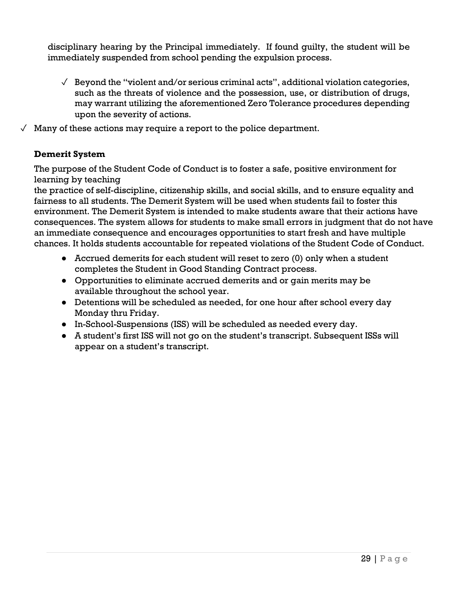disciplinary hearing by the Principal immediately. If found guilty, the student will be immediately suspended from school pending the expulsion process.

- $\sqrt{\phantom{a}}$  Beyond the "violent and/or serious criminal acts", additional violation categories, such as the threats of violence and the possession, use, or distribution of drugs, may warrant utilizing the aforementioned Zero Tolerance procedures depending upon the severity of actions.
- $\sqrt{ }$  Many of these actions may require a report to the police department.

### **Demerit System**

The purpose of the Student Code of Conduct is to foster a safe, positive environment for learning by teaching

the practice of self-discipline, citizenship skills, and social skills, and to ensure equality and fairness to all students. The Demerit System will be used when students fail to foster this environment. The Demerit System is intended to make students aware that their actions have consequences. The system allows for students to make small errors in judgment that do not have an immediate consequence and encourages opportunities to start fresh and have multiple chances. It holds students accountable for repeated violations of the Student Code of Conduct.

- Accrued demerits for each student will reset to zero (0) only when a student completes the Student in Good Standing Contract process.
- Opportunities to eliminate accrued demerits and or gain merits may be available throughout the school year.
- Detentions will be scheduled as needed, for one hour after school every day Monday thru Friday.
- In-School-Suspensions (ISS) will be scheduled as needed every day.
- A student's first ISS will not go on the student's transcript. Subsequent ISSs will appear on a student's transcript.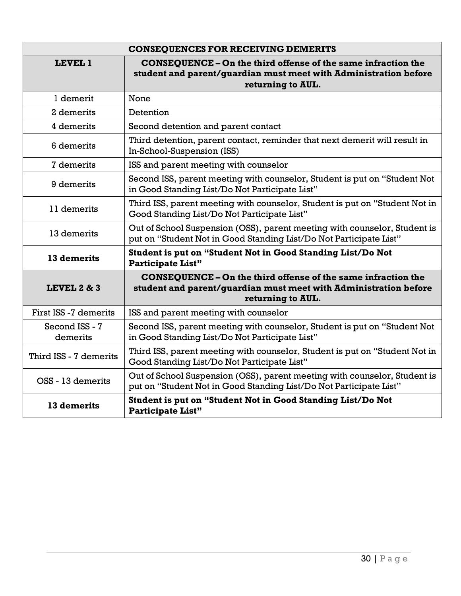| <b>CONSEQUENCES FOR RECEIVING DEMERITS</b> |                                                                                                                                                               |  |  |  |
|--------------------------------------------|---------------------------------------------------------------------------------------------------------------------------------------------------------------|--|--|--|
| <b>LEVEL 1</b>                             | <b>CONSEOUENCE - On the third offense of the same infraction the</b><br>student and parent/guardian must meet with Administration before<br>returning to AUL. |  |  |  |
| 1 demerit                                  | None                                                                                                                                                          |  |  |  |
| 2 demerits                                 | Detention                                                                                                                                                     |  |  |  |
| 4 demerits                                 | Second detention and parent contact                                                                                                                           |  |  |  |
| 6 demerits                                 | Third detention, parent contact, reminder that next demerit will result in<br>In-School-Suspension (ISS)                                                      |  |  |  |
| 7 demerits                                 | ISS and parent meeting with counselor                                                                                                                         |  |  |  |
| 9 demerits                                 | Second ISS, parent meeting with counselor, Student is put on "Student Not<br>in Good Standing List/Do Not Participate List"                                   |  |  |  |
| 11 demerits                                | Third ISS, parent meeting with counselor, Student is put on "Student Not in<br>Good Standing List/Do Not Participate List"                                    |  |  |  |
| 13 demerits                                | Out of School Suspension (OSS), parent meeting with counselor, Student is<br>put on "Student Not in Good Standing List/Do Not Participate List"               |  |  |  |
| 13 demerits                                | Student is put on "Student Not in Good Standing List/Do Not<br><b>Participate List"</b>                                                                       |  |  |  |
| <b>LEVEL 2 &amp; 3</b>                     | <b>CONSEQUENCE - On the third offense of the same infraction the</b><br>student and parent/guardian must meet with Administration before<br>returning to AUL. |  |  |  |
| First ISS -7 demerits                      | ISS and parent meeting with counselor                                                                                                                         |  |  |  |
| Second ISS - 7<br>demerits                 | Second ISS, parent meeting with counselor, Student is put on "Student Not<br>in Good Standing List/Do Not Participate List"                                   |  |  |  |
| Third ISS - 7 demerits                     | Third ISS, parent meeting with counselor, Student is put on "Student Not in<br>Good Standing List/Do Not Participate List"                                    |  |  |  |
| OSS - 13 demerits                          | Out of School Suspension (OSS), parent meeting with counselor, Student is<br>put on "Student Not in Good Standing List/Do Not Participate List"               |  |  |  |
| 13 demerits                                | Student is put on "Student Not in Good Standing List/Do Not<br><b>Participate List"</b>                                                                       |  |  |  |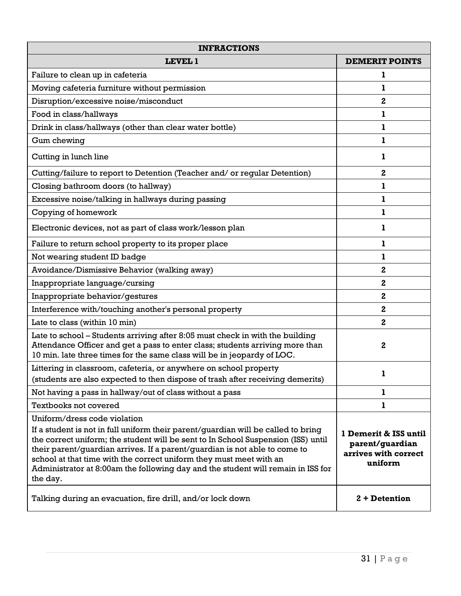| <b>INFRACTIONS</b>                                                                                                                                                                                                                                                                                                                                                                                                                                          |                                                                             |  |
|-------------------------------------------------------------------------------------------------------------------------------------------------------------------------------------------------------------------------------------------------------------------------------------------------------------------------------------------------------------------------------------------------------------------------------------------------------------|-----------------------------------------------------------------------------|--|
| <b>LEVEL 1</b>                                                                                                                                                                                                                                                                                                                                                                                                                                              | <b>DEMERIT POINTS</b>                                                       |  |
| Failure to clean up in cafeteria                                                                                                                                                                                                                                                                                                                                                                                                                            |                                                                             |  |
| Moving cafeteria furniture without permission                                                                                                                                                                                                                                                                                                                                                                                                               | ı                                                                           |  |
| Disruption/excessive noise/misconduct                                                                                                                                                                                                                                                                                                                                                                                                                       | 2                                                                           |  |
| Food in class/hallways                                                                                                                                                                                                                                                                                                                                                                                                                                      | 1                                                                           |  |
| Drink in class/hallways (other than clear water bottle)                                                                                                                                                                                                                                                                                                                                                                                                     | 1                                                                           |  |
| Gum chewing                                                                                                                                                                                                                                                                                                                                                                                                                                                 | 1                                                                           |  |
| Cutting in lunch line                                                                                                                                                                                                                                                                                                                                                                                                                                       | ı                                                                           |  |
| Cutting/failure to report to Detention (Teacher and/ or regular Detention)                                                                                                                                                                                                                                                                                                                                                                                  | 2                                                                           |  |
| Closing bathroom doors (to hallway)                                                                                                                                                                                                                                                                                                                                                                                                                         | 1                                                                           |  |
| Excessive noise/talking in hallways during passing                                                                                                                                                                                                                                                                                                                                                                                                          | ı                                                                           |  |
| Copying of homework                                                                                                                                                                                                                                                                                                                                                                                                                                         | L                                                                           |  |
| Electronic devices, not as part of class work/lesson plan                                                                                                                                                                                                                                                                                                                                                                                                   | 1                                                                           |  |
| Failure to return school property to its proper place                                                                                                                                                                                                                                                                                                                                                                                                       | 1                                                                           |  |
| Not wearing student ID badge                                                                                                                                                                                                                                                                                                                                                                                                                                | ı                                                                           |  |
| Avoidance/Dismissive Behavior (walking away)                                                                                                                                                                                                                                                                                                                                                                                                                | 2                                                                           |  |
| Inappropriate language/cursing                                                                                                                                                                                                                                                                                                                                                                                                                              | $\mathbf{2}$                                                                |  |
| Inappropriate behavior/gestures                                                                                                                                                                                                                                                                                                                                                                                                                             | 2                                                                           |  |
| Interference with/touching another's personal property                                                                                                                                                                                                                                                                                                                                                                                                      | 2                                                                           |  |
| Late to class (within 10 min)                                                                                                                                                                                                                                                                                                                                                                                                                               | 2                                                                           |  |
| Late to school - Students arriving after 8:05 must check in with the building<br>Attendance Officer and get a pass to enter class; students arriving more than<br>10 min. late three times for the same class will be in jeopardy of LOC.                                                                                                                                                                                                                   | 2                                                                           |  |
| Littering in classroom, cafeteria, or anywhere on school property<br>(students are also expected to then dispose of trash after receiving demerits)                                                                                                                                                                                                                                                                                                         | 1                                                                           |  |
| Not having a pass in hallway/out of class without a pass                                                                                                                                                                                                                                                                                                                                                                                                    | ı                                                                           |  |
| Textbooks not covered                                                                                                                                                                                                                                                                                                                                                                                                                                       | ı                                                                           |  |
| Uniform/dress code violation<br>If a student is not in full uniform their parent/quardian will be called to bring<br>the correct uniform; the student will be sent to In School Suspension (ISS) until<br>their parent/guardian arrives. If a parent/guardian is not able to come to<br>school at that time with the correct uniform they must meet with an<br>Administrator at 8:00am the following day and the student will remain in ISS for<br>the day. | 1 Demerit & ISS until<br>parent/guardian<br>arrives with correct<br>uniform |  |
| Talking during an evacuation, fire drill, and/or lock down                                                                                                                                                                                                                                                                                                                                                                                                  | $2 + D$ Detention                                                           |  |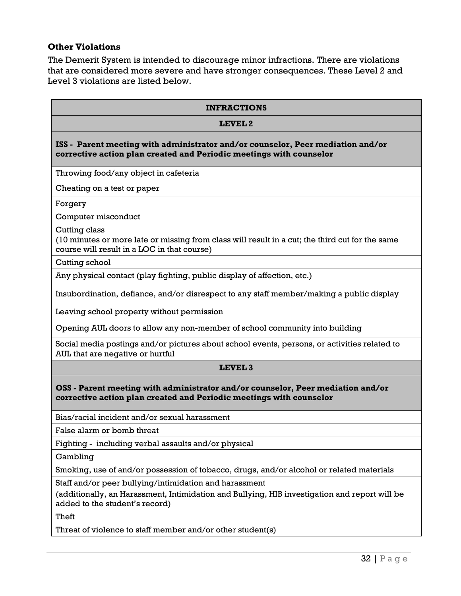### **Other Violations**

The Demerit System is intended to discourage minor infractions. There are violations that are considered more severe and have stronger consequences. These Level 2 and Level 3 violations are listed below.

| <b>INFRACTIONS</b>                                                                                                                                              |
|-----------------------------------------------------------------------------------------------------------------------------------------------------------------|
| LEVEL <sub>2</sub>                                                                                                                                              |
| ISS - Parent meeting with administrator and/or counselor, Peer mediation and/or<br>corrective action plan created and Periodic meetings with counselor          |
| Throwing food/any object in cafeteria                                                                                                                           |
| Cheating on a test or paper                                                                                                                                     |
| Forgery                                                                                                                                                         |
| Computer misconduct                                                                                                                                             |
| Cutting class<br>(10 minutes or more late or missing from class will result in a cut; the third cut for the same<br>course will result in a LOC in that course) |
| Cutting school                                                                                                                                                  |
| Any physical contact (play fighting, public display of affection, etc.)                                                                                         |
| Insubordination, defiance, and/or disrespect to any staff member/making a public display                                                                        |
| Leaving school property without permission                                                                                                                      |
| Opening AUL doors to allow any non-member of school community into building                                                                                     |
| Social media postings and/or pictures about school events, persons, or activities related to<br>AUL that are negative or hurtful                                |
| LEVEL <sub>3</sub>                                                                                                                                              |
| OSS - Parent meeting with administrator and/or counselor, Peer mediation and/or<br>corrective action plan created and Periodic meetings with counselor          |
| Bias/racial incident and/or sexual harassment                                                                                                                   |
| False alarm or bomb threat                                                                                                                                      |
| Fighting - including verbal assaults and/or physical                                                                                                            |
| Gambling                                                                                                                                                        |
| Smoking, use of and/or possession of tobacco, drugs, and/or alcohol or related materials                                                                        |
| Staff and/or peer bullying/intimidation and harassment                                                                                                          |
| (additionally, an Harassment, Intimidation and Bullying, HIB investigation and report will be<br>added to the student's record)                                 |
| Theft                                                                                                                                                           |

Threat of violence to staff member and/or other student(s)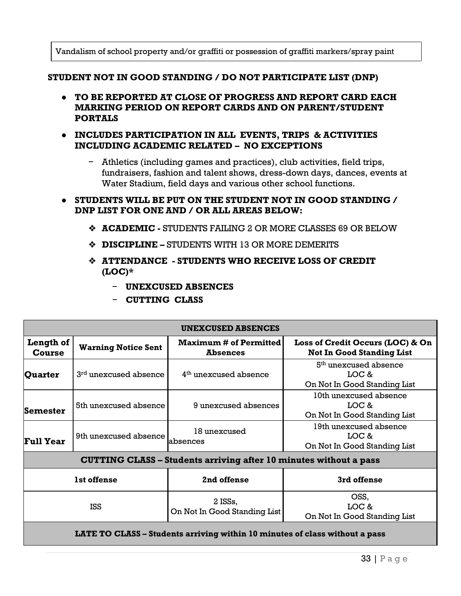Vandalism of school property and/or graffiti or possession of graffiti markers/spray paint

#### **STUDENT NOT IN GOOD STANDING / DO NOT PARTICIPATE LIST (DNP)**

- **TO BE REPORTED AT CLOSE OF PROGRESS AND REPORT CARD EACH MARKING PERIOD ON REPORT CARDS AND ON PARENT/STUDENT PORTALS**
- **INCLUDES PARTICIPATION IN ALL EVENTS, TRIPS & ACTIVITIES INCLUDING ACADEMIC RELATED – NO EXCEPTIONS**
	- − Athletics (including games and practices), club activities, field trips, fundraisers, fashion and talent shows, dress-down days, dances, events at Water Stadium, field days and various other school functions.
- **STUDENTS WILL BE PUT ON THE STUDENT NOT IN GOOD STANDING / DNP LIST FOR ONE AND / OR ALL AREAS BELOW:**
	- ❖ **ACADEMIC -** STUDENTS FAILING 2 OR MORE CLASSES 69 OR BELOW
	- ❖ **DISCIPLINE –** STUDENTS WITH 13 OR MORE DEMERITS
	- ❖ **ATTENDANCE - STUDENTS WHO RECEIVE LOSS OF CREDIT (LOC)\*** 
		- − **UNEXCUSED ABSENCES**
		- − **CUTTING CLASS**

| <b>UNEXCUSED ABSENCES</b>                                                   |                                   |                                                                          |                                                                            |  |
|-----------------------------------------------------------------------------|-----------------------------------|--------------------------------------------------------------------------|----------------------------------------------------------------------------|--|
| Length of<br>Course                                                         | <b>Warning Notice Sent</b>        | <b>Maximum # of Permitted</b><br><b>Absences</b>                         | Loss of Credit Occurs (LOC) & On<br><b>Not In Good Standing List</b>       |  |
| Quarter                                                                     | 3 <sup>rd</sup> unexcused absence | 4 <sup>th</sup> unexcused absence                                        | 5 <sup>th</sup> unexcused absence<br>LOC &<br>On Not In Good Standing List |  |
| Semester                                                                    | 5th unexcused absence             | 9 unexcused absences                                                     | 10th unexcused absence<br>LOC &<br>On Not In Good Standing List            |  |
| <b>Full Year</b>                                                            | 9th unexcused absence             | 18 unexcused<br>absences                                                 | 19th unexcused absence<br>LOC &<br>On Not In Good Standing List            |  |
|                                                                             |                                   | <b>CUTTING CLASS - Students arriving after 10 minutes without a pass</b> |                                                                            |  |
| 1st offense<br>2nd offense<br>3rd offense                                   |                                   |                                                                          |                                                                            |  |
| <b>ISS</b>                                                                  |                                   | 2 ISSs,<br>On Not In Good Standing List                                  | OSS.<br>LOC &<br>On Not In Good Standing List                              |  |
| LATE TO CLASS – Students arriving within 10 minutes of class without a pass |                                   |                                                                          |                                                                            |  |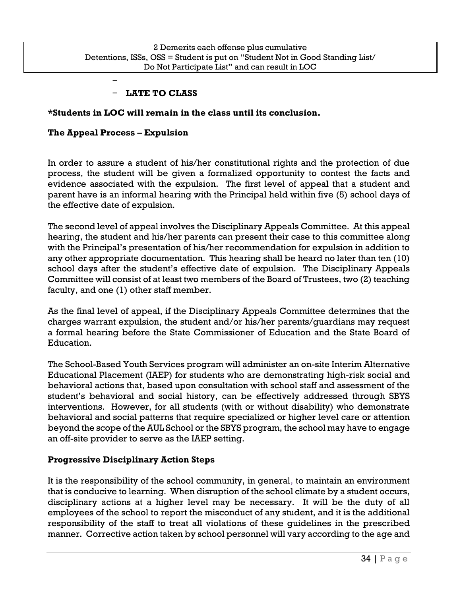### − **LATE TO CLASS**

### **\*Students in LOC will remain in the class until its conclusion.**

### **The Appeal Process – Expulsion**

−

In order to assure a student of his/her constitutional rights and the protection of due process, the student will be given a formalized opportunity to contest the facts and evidence associated with the expulsion. The first level of appeal that a student and parent have is an informal hearing with the Principal held within five (5) school days of the effective date of expulsion.

The second level of appeal involves the Disciplinary Appeals Committee. At this appeal hearing, the student and his/her parents can present their case to this committee along with the Principal's presentation of his/her recommendation for expulsion in addition to any other appropriate documentation. This hearing shall be heard no later than ten (10) school days after the student's effective date of expulsion. The Disciplinary Appeals Committee will consist of at least two members of the Board of Trustees, two (2) teaching faculty, and one (1) other staff member.

As the final level of appeal, if the Disciplinary Appeals Committee determines that the charges warrant expulsion, the student and/or his/her parents/guardians may request a formal hearing before the State Commissioner of Education and the State Board of Education.

The School-Based Youth Services program will administer an on-site Interim Alternative Educational Placement (IAEP) for students who are demonstrating high-risk social and behavioral actions that, based upon consultation with school staff and assessment of the student's behavioral and social history, can be effectively addressed through SBYS interventions. However, for all students (with or without disability) who demonstrate behavioral and social patterns that require specialized or higher level care or attention beyond the scope of the AUL School or the SBYS program, the school may have to engage an off-site provider to serve as the IAEP setting.

### **Progressive Disciplinary Action Steps**

It is the responsibility of the school community, in general, to maintain an environment that is conducive to learning. When disruption of the school climate by a student occurs, disciplinary actions at a higher level may be necessary. It will be the duty of all employees of the school to report the misconduct of any student, and it is the additional responsibility of the staff to treat all violations of these guidelines in the prescribed manner. Corrective action taken by school personnel will vary according to the age and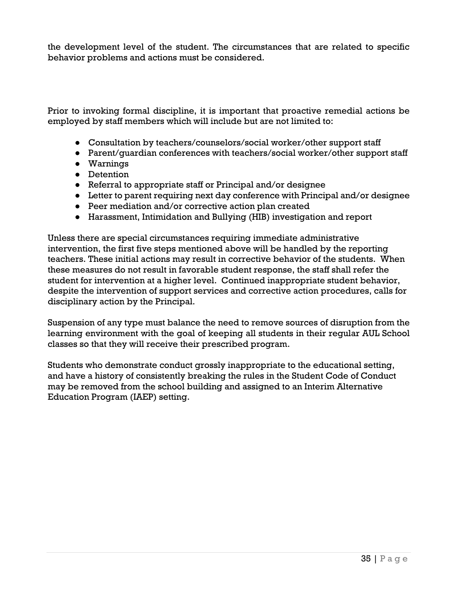the development level of the student. The circumstances that are related to specific behavior problems and actions must be considered.

Prior to invoking formal discipline, it is important that proactive remedial actions be employed by staff members which will include but are not limited to:

- Consultation by teachers/counselors/social worker/other support staff
- Parent/guardian conferences with teachers/social worker/other support staff
- Warnings
- Detention
- Referral to appropriate staff or Principal and/or designee
- Letter to parent requiring next day conference with Principal and/or designee
- Peer mediation and/or corrective action plan created
- Harassment, Intimidation and Bullying (HIB) investigation and report

Unless there are special circumstances requiring immediate administrative intervention, the first five steps mentioned above will be handled by the reporting teachers. These initial actions may result in corrective behavior of the students. When these measures do not result in favorable student response, the staff shall refer the student for intervention at a higher level. Continued inappropriate student behavior, despite the intervention of support services and corrective action procedures, calls for disciplinary action by the Principal.

Suspension of any type must balance the need to remove sources of disruption from the learning environment with the goal of keeping all students in their regular AUL School classes so that they will receive their prescribed program.

Students who demonstrate conduct grossly inappropriate to the educational setting, and have a history of consistently breaking the rules in the Student Code of Conduct may be removed from the school building and assigned to an Interim Alternative Education Program (IAEP) setting.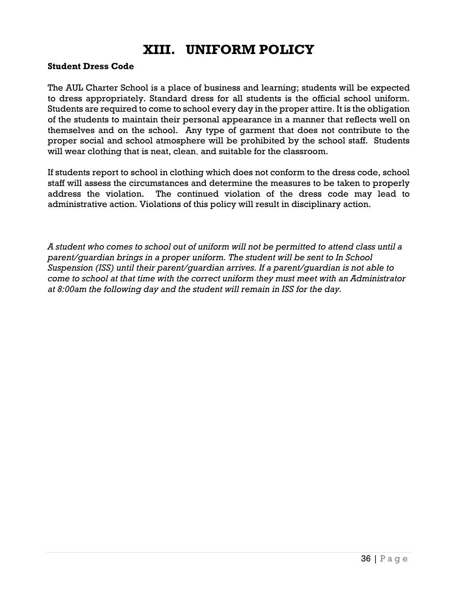### **XIII. UNIFORM POLICY**

#### **Student Dress Code**

The AUL Charter School is a place of business and learning; students will be expected to dress appropriately. Standard dress for all students is the official school uniform. Students are required to come to school every day in the proper attire. It is the obligation of the students to maintain their personal appearance in a manner that reflects well on themselves and on the school. Any type of garment that does not contribute to the proper social and school atmosphere will be prohibited by the school staff. Students will wear clothing that is neat, clean, and suitable for the classroom.

If students report to school in clothing which does not conform to the dress code, school staff will assess the circumstances and determine the measures to be taken to properly address the violation. The continued violation of the dress code may lead to administrative action. Violations of this policy will result in disciplinary action.

*A student who comes to school out of uniform will not be permitted to attend class until a parent/guardian brings in a proper uniform. The student will be sent to In School Suspension (ISS) until their parent/guardian arrives. If a parent/guardian is not able to come to school at that time with the correct uniform they must meet with an Administrator at 8:00am the following day and the student will remain in ISS for the day.*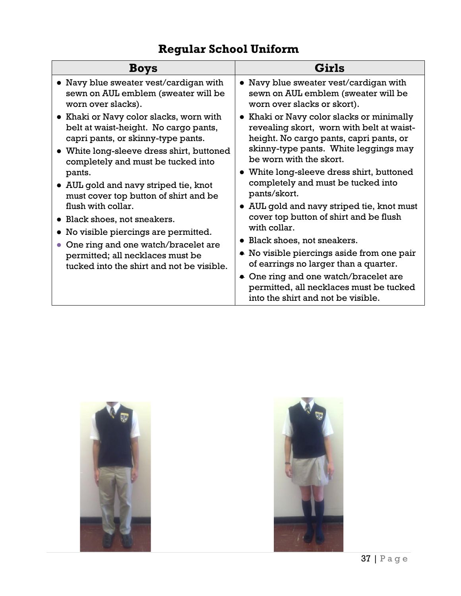### **Regular School Uniform**

| <b>Boys</b>                                                                                                                                                                                                                                                                                                                                                                                                                                                                                                                         | Girls                                                                                                                                                                                                                                                                                                                                                                                                                                                                                                                                                                                                                                                           |
|-------------------------------------------------------------------------------------------------------------------------------------------------------------------------------------------------------------------------------------------------------------------------------------------------------------------------------------------------------------------------------------------------------------------------------------------------------------------------------------------------------------------------------------|-----------------------------------------------------------------------------------------------------------------------------------------------------------------------------------------------------------------------------------------------------------------------------------------------------------------------------------------------------------------------------------------------------------------------------------------------------------------------------------------------------------------------------------------------------------------------------------------------------------------------------------------------------------------|
| • Navy blue sweater vest/cardigan with<br>sewn on AUL emblem (sweater will be<br>worn over slacks).                                                                                                                                                                                                                                                                                                                                                                                                                                 | Navy blue sweater vest/cardigan with<br>sewn on AUL emblem (sweater will be<br>worn over slacks or skort).                                                                                                                                                                                                                                                                                                                                                                                                                                                                                                                                                      |
| Khaki or Navy color slacks, worn with<br>$\bullet$<br>belt at waist-height. No cargo pants,<br>capri pants, or skinny-type pants.<br>• White long-sleeve dress shirt, buttoned<br>completely and must be tucked into<br>pants.<br>• AUL gold and navy striped tie, knot<br>must cover top button of shirt and be<br>flush with collar.<br>Black shoes, not sneakers.<br>No visible piercings are permitted.<br>One ring and one watch/bracelet are<br>permitted; all necklaces must be<br>tucked into the shirt and not be visible. | Khaki or Navy color slacks or minimally<br>revealing skort, worn with belt at waist-<br>height. No cargo pants, capri pants, or<br>skinny-type pants. White leggings may<br>be worn with the skort.<br>• White long-sleeve dress shirt, buttoned<br>completely and must be tucked into<br>pants/skort.<br>• AUL gold and navy striped tie, knot must<br>cover top button of shirt and be flush<br>with collar.<br>• Black shoes, not sneakers.<br>• No visible piercings aside from one pair<br>of earrings no larger than a quarter.<br>• One ring and one watch/bracelet are<br>permitted, all necklaces must be tucked<br>into the shirt and not be visible. |



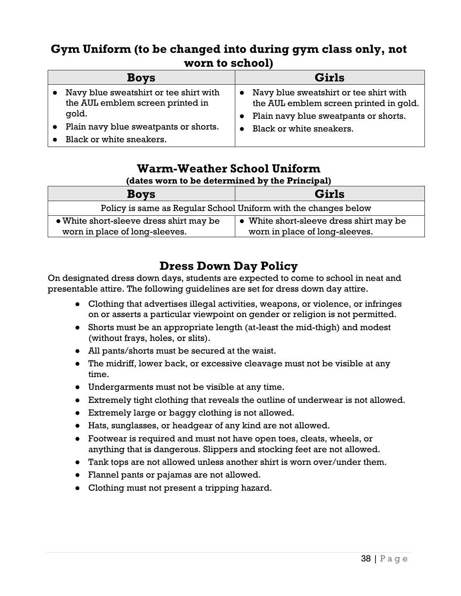### **Gym Uniform (to be changed into during gym class only, not worn to school)**

| <b>Boys</b>                                                                | Girls                                                                                         |
|----------------------------------------------------------------------------|-----------------------------------------------------------------------------------------------|
| Navy blue sweatshirt or tee shirt with<br>the AUL emblem screen printed in | Navy blue sweatshirt or tee shirt with<br>$\bullet$<br>the AUL emblem screen printed in gold. |
| qold.                                                                      | Plain navy blue sweatpants or shorts.                                                         |
| Plain navy blue sweatpants or shorts.                                      | Black or white sneakers.                                                                      |
| Black or white sneakers.                                                   |                                                                                               |

### **Warm-Weather School Uniform**

### **(dates worn to be determined by the Principal)**

| <b>Boys</b>                                                                        | Girls                          |  |
|------------------------------------------------------------------------------------|--------------------------------|--|
| Policy is same as Regular School Uniform with the changes below                    |                                |  |
| • White short-sleeve dress shirt may be<br>• White short-sleeve dress shirt may be |                                |  |
| worn in place of long-sleeves.                                                     | worn in place of long-sleeves. |  |

### **Dress Down Day Policy**

On designated dress down days, students are expected to come to school in neat and presentable attire. The following guidelines are set for dress down day attire.

- Clothing that advertises illegal activities, weapons, or violence, or infringes on or asserts a particular viewpoint on gender or religion is not permitted.
- Shorts must be an appropriate length (at-least the mid-thigh) and modest (without frays, holes, or slits).
- All pants/shorts must be secured at the waist.
- The midriff, lower back, or excessive cleavage must not be visible at any time.
- Undergarments must not be visible at any time.
- Extremely tight clothing that reveals the outline of underwear is not allowed.
- Extremely large or baggy clothing is not allowed.
- Hats, sunglasses, or headgear of any kind are not allowed.
- Footwear is required and must not have open toes, cleats, wheels, or anything that is dangerous. Slippers and stocking feet are not allowed.
- Tank tops are not allowed unless another shirt is worn over/under them.
- Flannel pants or pajamas are not allowed.
- Clothing must not present a tripping hazard.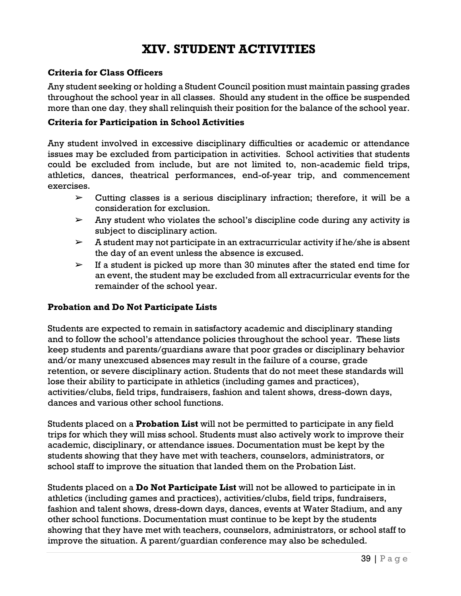### **XIV. STUDENT ACTIVITIES**

### **Criteria for Class Officers**

Any student seeking or holding a Student Council position must maintain passing grades throughout the school year in all classes. Should any student in the office be suspended more than one day, they shall relinquish their position for the balance of the school year.

### **Criteria for Participation in School Activities**

Any student involved in excessive disciplinary difficulties or academic or attendance issues may be excluded from participation in activities. School activities that students could be excluded from include, but are not limited to, non-academic field trips, athletics, dances, theatrical performances, end-of-year trip, and commencement exercises.

- $\triangleright$  Cutting classes is a serious disciplinary infraction; therefore, it will be a consideration for exclusion.
- $\triangleright$  Any student who violates the school's discipline code during any activity is subject to disciplinary action.
- $\triangleright$  A student may not participate in an extracurricular activity if he/she is absent the day of an event unless the absence is excused.
- $\triangleright$  If a student is picked up more than 30 minutes after the stated end time for an event, the student may be excluded from all extracurricular events for the remainder of the school year.

### **Probation and Do Not Participate Lists**

Students are expected to remain in satisfactory academic and disciplinary standing and to follow the school's attendance policies throughout the school year. These lists keep students and parents/guardians aware that poor grades or disciplinary behavior and/or many unexcused absences may result in the failure of a course, grade retention, or severe disciplinary action. Students that do not meet these standards will lose their ability to participate in athletics (including games and practices), activities/clubs, field trips, fundraisers, fashion and talent shows, dress-down days, dances and various other school functions.

Students placed on a **Probation List** will not be permitted to participate in any field trips for which they will miss school. Students must also actively work to improve their academic, disciplinary, or attendance issues. Documentation must be kept by the students showing that they have met with teachers, counselors, administrators, or school staff to improve the situation that landed them on the Probation List.

Students placed on a **Do Not Participate List** will not be allowed to participate in in athletics (including games and practices), activities/clubs, field trips, fundraisers, fashion and talent shows, dress-down days, dances, events at Water Stadium, and any other school functions. Documentation must continue to be kept by the students showing that they have met with teachers, counselors, administrators, or school staff to improve the situation. A parent/guardian conference may also be scheduled.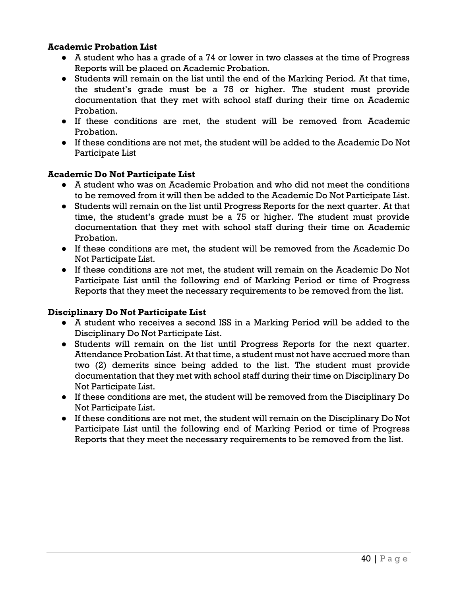### **Academic Probation List**

- A student who has a grade of a 74 or lower in two classes at the time of Progress Reports will be placed on Academic Probation.
- Students will remain on the list until the end of the Marking Period. At that time, the student's grade must be a 75 or higher. The student must provide documentation that they met with school staff during their time on Academic Probation.
- If these conditions are met, the student will be removed from Academic Probation.
- If these conditions are not met, the student will be added to the Academic Do Not Participate List

### **Academic Do Not Participate List**

- A student who was on Academic Probation and who did not meet the conditions to be removed from it will then be added to the Academic Do Not Participate List.
- Students will remain on the list until Progress Reports for the next quarter. At that time, the student's grade must be a 75 or higher. The student must provide documentation that they met with school staff during their time on Academic Probation.
- If these conditions are met, the student will be removed from the Academic Do Not Participate List.
- If these conditions are not met, the student will remain on the Academic Do Not Participate List until the following end of Marking Period or time of Progress Reports that they meet the necessary requirements to be removed from the list.

#### **Disciplinary Do Not Participate List**

- A student who receives a second ISS in a Marking Period will be added to the Disciplinary Do Not Participate List.
- Students will remain on the list until Progress Reports for the next quarter. Attendance Probation List. At that time, a student must not have accrued more than two (2) demerits since being added to the list. The student must provide documentation that they met with school staff during their time on Disciplinary Do Not Participate List.
- If these conditions are met, the student will be removed from the Disciplinary Do Not Participate List.
- If these conditions are not met, the student will remain on the Disciplinary Do Not Participate List until the following end of Marking Period or time of Progress Reports that they meet the necessary requirements to be removed from the list.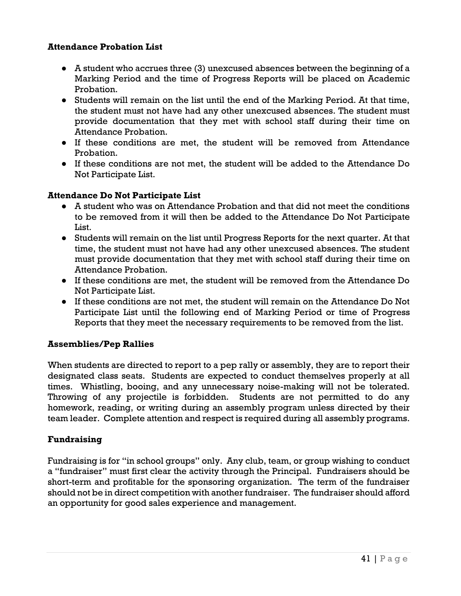### **Attendance Probation List**

- A student who accrues three (3) unexcused absences between the beginning of a Marking Period and the time of Progress Reports will be placed on Academic Probation.
- Students will remain on the list until the end of the Marking Period. At that time, the student must not have had any other unexcused absences. The student must provide documentation that they met with school staff during their time on Attendance Probation.
- If these conditions are met, the student will be removed from Attendance Probation.
- If these conditions are not met, the student will be added to the Attendance Do Not Participate List.

### **Attendance Do Not Participate List**

- A student who was on Attendance Probation and that did not meet the conditions to be removed from it will then be added to the Attendance Do Not Participate List.
- Students will remain on the list until Progress Reports for the next quarter. At that time, the student must not have had any other unexcused absences. The student must provide documentation that they met with school staff during their time on Attendance Probation.
- If these conditions are met, the student will be removed from the Attendance Do Not Participate List.
- If these conditions are not met, the student will remain on the Attendance Do Not Participate List until the following end of Marking Period or time of Progress Reports that they meet the necessary requirements to be removed from the list.

### **Assemblies/Pep Rallies**

When students are directed to report to a pep rally or assembly, they are to report their designated class seats. Students are expected to conduct themselves properly at all times. Whistling, booing, and any unnecessary noise-making will not be tolerated. Throwing of any projectile is forbidden. Students are not permitted to do any homework, reading, or writing during an assembly program unless directed by their team leader. Complete attention and respect is required during all assembly programs.

### **Fundraising**

Fundraising is for "in school groups" only. Any club, team, or group wishing to conduct a "fundraiser" must first clear the activity through the Principal. Fundraisers should be short-term and profitable for the sponsoring organization. The term of the fundraiser should not be in direct competition with another fundraiser. The fundraiser should afford an opportunity for good sales experience and management.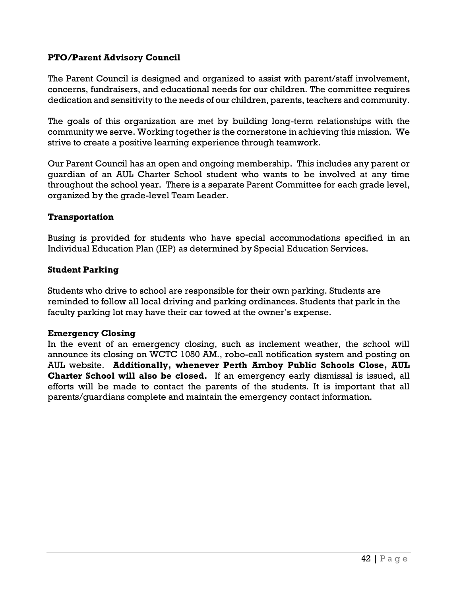### **PTO/Parent Advisory Council**

The Parent Council is designed and organized to assist with parent/staff involvement, concerns, fundraisers, and educational needs for our children. The committee requires dedication and sensitivity to the needs of our children, parents, teachers and community.

The goals of this organization are met by building long-term relationships with the community we serve. Working together is the cornerstone in achieving this mission. We strive to create a positive learning experience through teamwork.

Our Parent Council has an open and ongoing membership. This includes any parent or guardian of an AUL Charter School student who wants to be involved at any time throughout the school year. There is a separate Parent Committee for each grade level, organized by the grade-level Team Leader.

#### **Transportation**

Busing is provided for students who have special accommodations specified in an Individual Education Plan (IEP) as determined by Special Education Services.

### **Student Parking**

Students who drive to school are responsible for their own parking. Students are reminded to follow all local driving and parking ordinances. Students that park in the faculty parking lot may have their car towed at the owner's expense.

#### **Emergency Closing**

In the event of an emergency closing, such as inclement weather, the school will announce its closing on WCTC 1050 AM., robo-call notification system and posting on AUL website. **Additionally, whenever Perth Amboy Public Schools Close, AUL Charter School will also be closed.** If an emergency early dismissal is issued, all efforts will be made to contact the parents of the students. It is important that all parents/guardians complete and maintain the emergency contact information.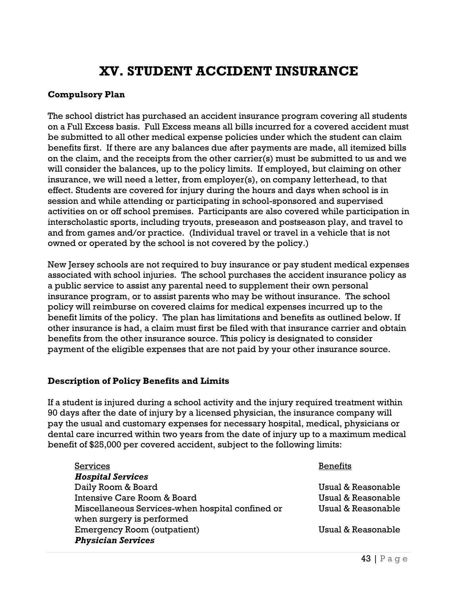### **XV. STUDENT ACCIDENT INSURANCE**

### **Compulsory Plan**

The school district has purchased an accident insurance program covering all students on a Full Excess basis. Full Excess means all bills incurred for a covered accident must be submitted to all other medical expense policies under which the student can claim benefits first. If there are any balances due after payments are made, all itemized bills on the claim, and the receipts from the other carrier(s) must be submitted to us and we will consider the balances, up to the policy limits. If employed, but claiming on other insurance, we will need a letter, from employer(s), on company letterhead, to that effect. Students are covered for injury during the hours and days when school is in session and while attending or participating in school-sponsored and supervised activities on or off school premises. Participants are also covered while participation in interscholastic sports, including tryouts, preseason and postseason play, and travel to and from games and/or practice. (Individual travel or travel in a vehicle that is not owned or operated by the school is not covered by the policy.)

New Jersey schools are not required to buy insurance or pay student medical expenses associated with school injuries. The school purchases the accident insurance policy as a public service to assist any parental need to supplement their own personal insurance program, or to assist parents who may be without insurance. The school policy will reimburse on covered claims for medical expenses incurred up to the benefit limits of the policy. The plan has limitations and benefits as outlined below. If other insurance is had, a claim must first be filed with that insurance carrier and obtain benefits from the other insurance source. This policy is designated to consider payment of the eligible expenses that are not paid by your other insurance source.

### **Description of Policy Benefits and Limits**

If a student is injured during a school activity and the injury required treatment within 90 days after the date of injury by a licensed physician, the insurance company will pay the usual and customary expenses for necessary hospital, medical, physicians or dental care incurred within two years from the date of injury up to a maximum medical benefit of \$25,000 per covered accident, subject to the following limits:

| <b>Services</b>                                  | <b>Benefits</b>    |
|--------------------------------------------------|--------------------|
| <b>Hospital Services</b>                         |                    |
| Daily Room & Board                               | Usual & Reasonable |
| Intensive Care Room & Board                      | Usual & Reasonable |
| Miscellaneous Services-when hospital confined or | Usual & Reasonable |
| when surgery is performed                        |                    |
| <b>Emergency Room (outpatient)</b>               | Usual & Reasonable |
| <b>Physician Services</b>                        |                    |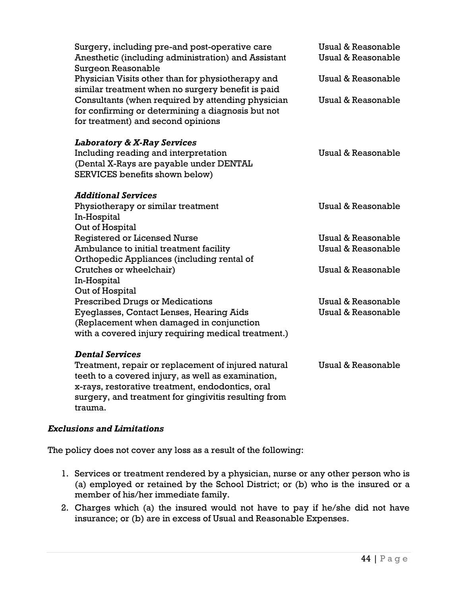| Surgery, including pre-and post-operative care<br>Anesthetic (including administration) and Assistant<br>Surgeon Reasonable                  | <b>Usual &amp; Reasonable</b><br>Usual & Reasonable |
|----------------------------------------------------------------------------------------------------------------------------------------------|-----------------------------------------------------|
| Physician Visits other than for physiotherapy and<br>similar treatment when no surgery benefit is paid                                       | Usual & Reasonable                                  |
| Consultants (when required by attending physician<br>for confirming or determining a diagnosis but not<br>for treatment) and second opinions | Usual & Reasonable                                  |
| <b>Laboratory &amp; X-Ray Services</b>                                                                                                       |                                                     |
| Including reading and interpretation<br>(Dental X-Rays are payable under DENTAL                                                              | Usual & Reasonable                                  |
| SERVICES benefits shown below)                                                                                                               |                                                     |
| <b>Additional Services</b>                                                                                                                   |                                                     |
| Physiotherapy or similar treatment                                                                                                           | Usual & Reasonable                                  |
| In-Hospital<br>Out of Hospital                                                                                                               |                                                     |
| <b>Registered or Licensed Nurse</b>                                                                                                          | Usual & Reasonable                                  |
| Ambulance to initial treatment facility                                                                                                      | Usual & Reasonable                                  |
| Orthopedic Appliances (including rental of<br>Crutches or wheelchair)                                                                        | Usual & Reasonable                                  |
| In-Hospital                                                                                                                                  |                                                     |
| Out of Hospital                                                                                                                              |                                                     |
| <b>Prescribed Drugs or Medications</b>                                                                                                       | Usual & Reasonable                                  |
| Eyeglasses, Contact Lenses, Hearing Aids<br>(Replacement when damaged in conjunction                                                         | Usual & Reasonable                                  |
| with a covered injury requiring medical treatment.)                                                                                          |                                                     |
| <b>Dental Services</b>                                                                                                                       |                                                     |
| Treatment, repair or replacement of injured natural                                                                                          | <b>Usual &amp; Reasonable</b>                       |
| teeth to a covered injury, as well as examination,                                                                                           |                                                     |
| x-rays, restorative treatment, endodontics, oral<br>surgery, and treatment for gingivitis resulting from                                     |                                                     |
| trauma.                                                                                                                                      |                                                     |

### *Exclusions and Limitations*

The policy does not cover any loss as a result of the following:

- 1. Services or treatment rendered by a physician, nurse or any other person who is (a) employed or retained by the School District; or (b) who is the insured or a member of his/her immediate family.
- 2. Charges which (a) the insured would not have to pay if he/she did not have insurance; or (b) are in excess of Usual and Reasonable Expenses.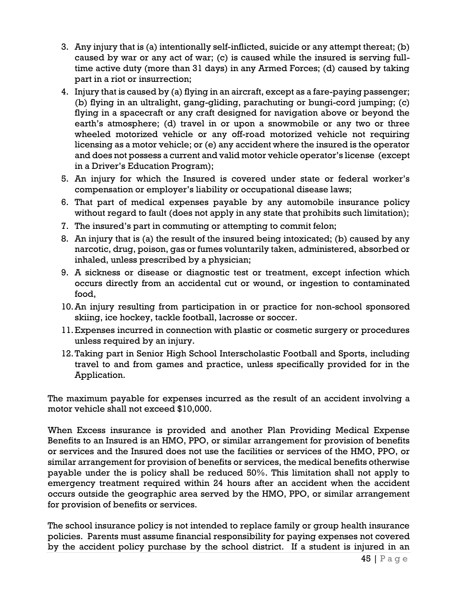- 3. Any injury that is (a) intentionally self-inflicted, suicide or any attempt thereat; (b) caused by war or any act of war; (c) is caused while the insured is serving fulltime active duty (more than 31 days) in any Armed Forces; (d) caused by taking part in a riot or insurrection;
- 4. Injury that is caused by (a) flying in an aircraft, except as a fare-paying passenger; (b) flying in an ultralight, gang-gliding, parachuting or bungi-cord jumping; (c) flying in a spacecraft or any craft designed for navigation above or beyond the earth's atmosphere; (d) travel in or upon a snowmobile or any two or three wheeled motorized vehicle or any off-road motorized vehicle not requiring licensing as a motor vehicle; or (e) any accident where the insured is the operator and does not possess a current and valid motor vehicle operator's license (except in a Driver's Education Program);
- 5. An injury for which the Insured is covered under state or federal worker's compensation or employer's liability or occupational disease laws;
- 6. That part of medical expenses payable by any automobile insurance policy without regard to fault (does not apply in any state that prohibits such limitation);
- 7. The insured's part in commuting or attempting to commit felon;
- 8. An injury that is (a) the result of the insured being intoxicated; (b) caused by any narcotic, drug, poison, gas or fumes voluntarily taken, administered, absorbed or inhaled, unless prescribed by a physician;
- 9. A sickness or disease or diagnostic test or treatment, except infection which occurs directly from an accidental cut or wound, or ingestion to contaminated food,
- 10.An injury resulting from participation in or practice for non-school sponsored skiing, ice hockey, tackle football, lacrosse or soccer.
- 11.Expenses incurred in connection with plastic or cosmetic surgery or procedures unless required by an injury.
- 12.Taking part in Senior High School Interscholastic Football and Sports, including travel to and from games and practice, unless specifically provided for in the Application.

The maximum payable for expenses incurred as the result of an accident involving a motor vehicle shall not exceed \$10,000.

When Excess insurance is provided and another Plan Providing Medical Expense Benefits to an Insured is an HMO, PPO, or similar arrangement for provision of benefits or services and the Insured does not use the facilities or services of the HMO, PPO, or similar arrangement for provision of benefits or services, the medical benefits otherwise payable under the is policy shall be reduced 50%. This limitation shall not apply to emergency treatment required within 24 hours after an accident when the accident occurs outside the geographic area served by the HMO, PPO, or similar arrangement for provision of benefits or services.

The school insurance policy is not intended to replace family or group health insurance policies. Parents must assume financial responsibility for paying expenses not covered by the accident policy purchase by the school district. If a student is injured in an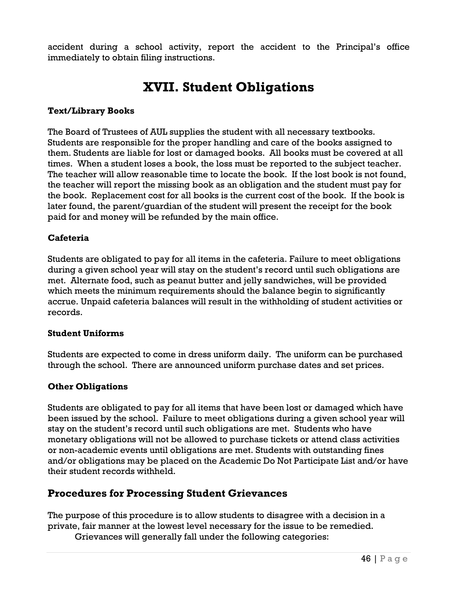accident during a school activity, report the accident to the Principal's office immediately to obtain filing instructions.

### **XVII. Student Obligations**

### **Text/Library Books**

The Board of Trustees of AUL supplies the student with all necessary textbooks. Students are responsible for the proper handling and care of the books assigned to them. Students are liable for lost or damaged books. All books must be covered at all times. When a student loses a book, the loss must be reported to the subject teacher. The teacher will allow reasonable time to locate the book. If the lost book is not found, the teacher will report the missing book as an obligation and the student must pay for the book. Replacement cost for all books is the current cost of the book. If the book is later found, the parent/guardian of the student will present the receipt for the book paid for and money will be refunded by the main office.

### **Cafeteria**

Students are obligated to pay for all items in the cafeteria. Failure to meet obligations during a given school year will stay on the student's record until such obligations are met. Alternate food, such as peanut butter and jelly sandwiches, will be provided which meets the minimum requirements should the balance begin to significantly accrue. Unpaid cafeteria balances will result in the withholding of student activities or records.

### **Student Uniforms**

Students are expected to come in dress uniform daily. The uniform can be purchased through the school. There are announced uniform purchase dates and set prices.

### **Other Obligations**

Students are obligated to pay for all items that have been lost or damaged which have been issued by the school. Failure to meet obligations during a given school year will stay on the student's record until such obligations are met. Students who have monetary obligations will not be allowed to purchase tickets or attend class activities or non-academic events until obligations are met. Students with outstanding fines and/or obligations may be placed on the Academic Do Not Participate List and/or have their student records withheld.

### **Procedures for Processing Student Grievances**

The purpose of this procedure is to allow students to disagree with a decision in a private, fair manner at the lowest level necessary for the issue to be remedied.

Grievances will generally fall under the following categories: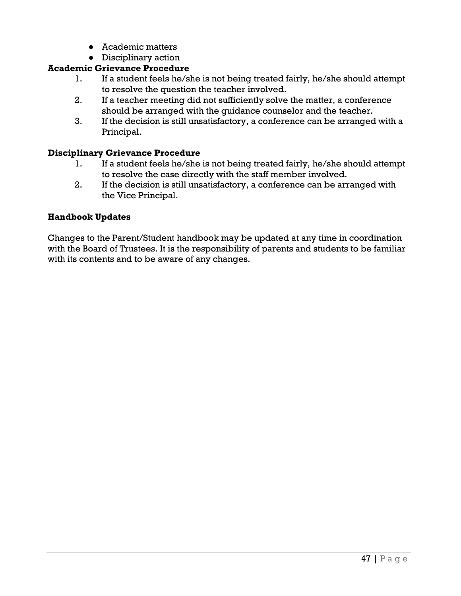- Academic matters
- Disciplinary action

### **Academic Grievance Procedure**

- 1. If a student feels he/she is not being treated fairly, he/she should attempt to resolve the question the teacher involved.
- 2. If a teacher meeting did not sufficiently solve the matter, a conference should be arranged with the guidance counselor and the teacher.
- 3. If the decision is still unsatisfactory, a conference can be arranged with a Principal.

### **Disciplinary Grievance Procedure**

- 1. If a student feels he/she is not being treated fairly, he/she should attempt to resolve the case directly with the staff member involved.
- 2. If the decision is still unsatisfactory, a conference can be arranged with the Vice Principal.

### **Handbook Updates**

Changes to the Parent/Student handbook may be updated at any time in coordination with the Board of Trustees. It is the responsibility of parents and students to be familiar with its contents and to be aware of any changes.